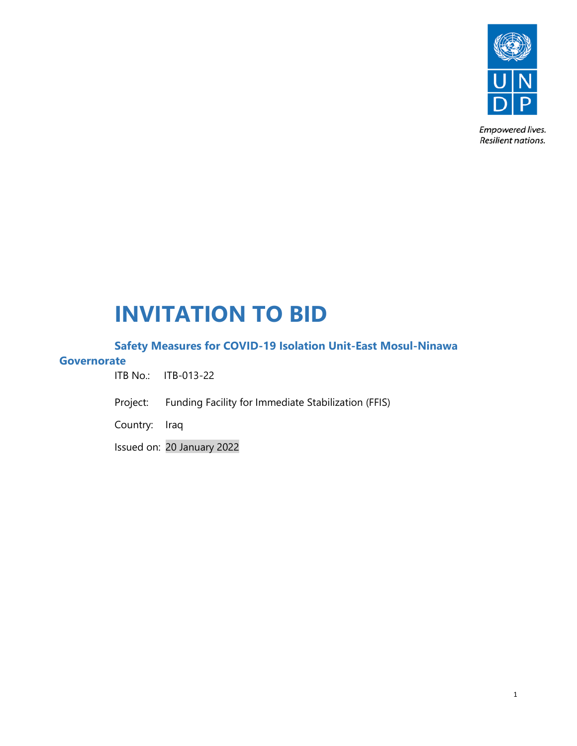

Empowered lives. Resilient nations.

# **INVITATION TO BID**

# **Safety Measures for COVID-19 Isolation Unit-East Mosul-Ninawa**

# **Governorate**

ITB No.: ITB-013-22

Project: Funding Facility for Immediate Stabilization (FFIS)

Country: Iraq

Issued on: 20 January 2022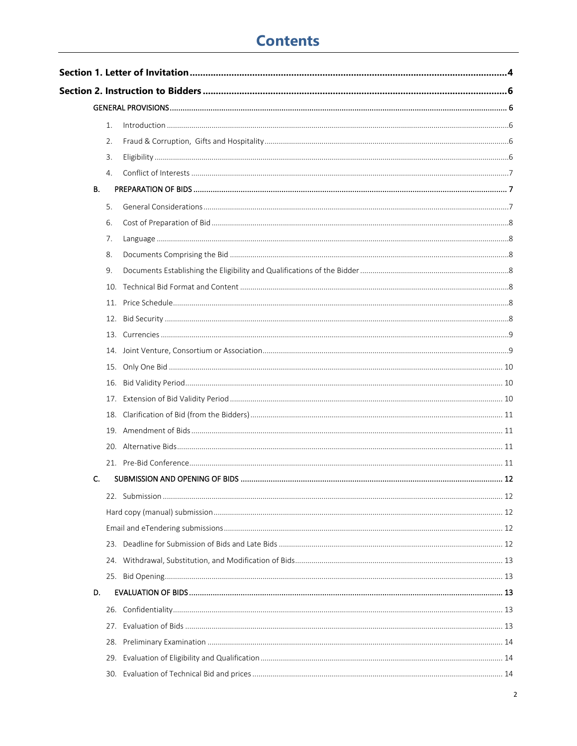# **Contents**

|    | 1.  |  |  |  |  |  |  |
|----|-----|--|--|--|--|--|--|
|    | 2.  |  |  |  |  |  |  |
|    | 3.  |  |  |  |  |  |  |
|    | 4.  |  |  |  |  |  |  |
| В. |     |  |  |  |  |  |  |
|    | 5.  |  |  |  |  |  |  |
|    | 6.  |  |  |  |  |  |  |
|    | 7.  |  |  |  |  |  |  |
|    | 8.  |  |  |  |  |  |  |
|    | 9.  |  |  |  |  |  |  |
|    |     |  |  |  |  |  |  |
|    | 11. |  |  |  |  |  |  |
|    |     |  |  |  |  |  |  |
|    |     |  |  |  |  |  |  |
|    |     |  |  |  |  |  |  |
|    |     |  |  |  |  |  |  |
|    | 16. |  |  |  |  |  |  |
|    | 17. |  |  |  |  |  |  |
|    | 18. |  |  |  |  |  |  |
|    |     |  |  |  |  |  |  |
|    |     |  |  |  |  |  |  |
|    |     |  |  |  |  |  |  |
| C. |     |  |  |  |  |  |  |
|    |     |  |  |  |  |  |  |
|    |     |  |  |  |  |  |  |
|    |     |  |  |  |  |  |  |
|    | 23. |  |  |  |  |  |  |
|    |     |  |  |  |  |  |  |
|    |     |  |  |  |  |  |  |
| D. |     |  |  |  |  |  |  |
|    |     |  |  |  |  |  |  |
|    | 27. |  |  |  |  |  |  |
|    | 28. |  |  |  |  |  |  |
|    | 29. |  |  |  |  |  |  |
|    |     |  |  |  |  |  |  |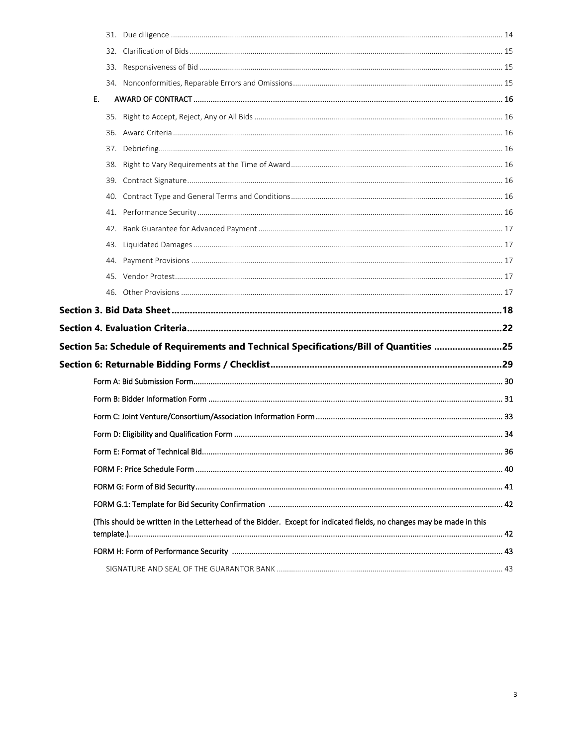<span id="page-2-0"></span>

| Е. |                                                                                                                      |    |
|----|----------------------------------------------------------------------------------------------------------------------|----|
|    |                                                                                                                      |    |
|    |                                                                                                                      |    |
|    |                                                                                                                      |    |
|    |                                                                                                                      |    |
|    |                                                                                                                      |    |
|    |                                                                                                                      |    |
|    |                                                                                                                      |    |
|    |                                                                                                                      |    |
|    |                                                                                                                      |    |
|    |                                                                                                                      |    |
|    |                                                                                                                      |    |
|    |                                                                                                                      |    |
|    |                                                                                                                      |    |
|    |                                                                                                                      |    |
|    |                                                                                                                      |    |
|    | Section 5a: Schedule of Requirements and Technical Specifications/Bill of Quantities 25                              |    |
|    |                                                                                                                      |    |
|    |                                                                                                                      |    |
|    |                                                                                                                      |    |
|    |                                                                                                                      |    |
|    |                                                                                                                      |    |
|    |                                                                                                                      |    |
|    | Form E: Format of Technical Bid                                                                                      | 36 |
|    |                                                                                                                      |    |
|    |                                                                                                                      |    |
|    |                                                                                                                      |    |
|    | (This should be written in the Letterhead of the Bidder. Except for indicated fields, no changes may be made in this |    |
|    |                                                                                                                      |    |
|    |                                                                                                                      |    |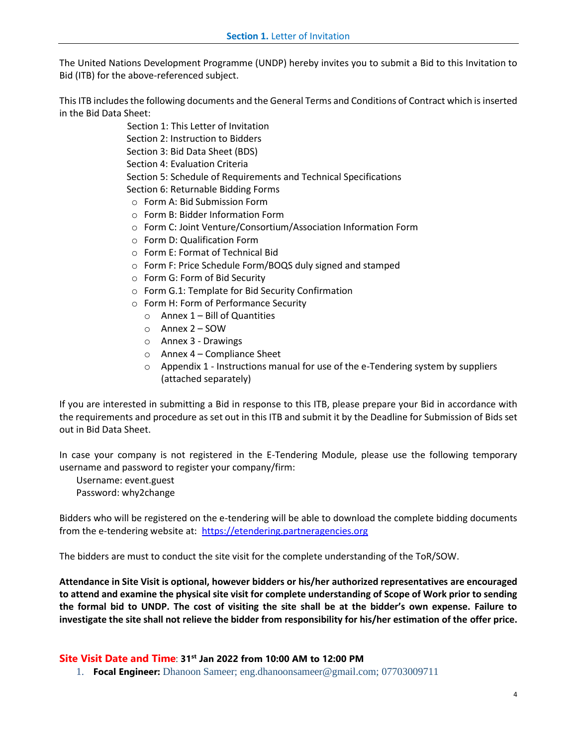The United Nations Development Programme (UNDP) hereby invites you to submit a Bid to this Invitation to Bid (ITB) for the above-referenced subject.

This ITB includes the following documents and the General Terms and Conditions of Contract which is inserted in the Bid Data Sheet:

> Section 1: This Letter of Invitation Section 2: Instruction to Bidders Section 3: Bid Data Sheet (BDS) Section 4: Evaluation Criteria Section 5: Schedule of Requirements and Technical Specifications Section 6: Returnable Bidding Forms

- o Form A: Bid Submission Form
- o Form B: Bidder Information Form
- o Form C: Joint Venture/Consortium/Association Information Form
- o Form D: Qualification Form
- o Form E: Format of Technical Bid
- o Form F: Price Schedule Form/BOQS duly signed and stamped
- o Form G: Form of Bid Security
- o Form G.1: Template for Bid Security Confirmation
- o Form H: Form of Performance Security
	- $\circ$  Annex 1 Bill of Quantities
	- o Annex 2 SOW
	- o Annex 3 Drawings
	- o Annex 4 Compliance Sheet
	- $\circ$  Appendix 1 Instructions manual for use of the e-Tendering system by suppliers (attached separately)

If you are interested in submitting a Bid in response to this ITB, please prepare your Bid in accordance with the requirements and procedure as set out in this ITB and submit it by the Deadline for Submission of Bids set out in Bid Data Sheet.

In case your company is not registered in the E-Tendering Module, please use the following temporary username and password to register your company/firm:

Username: event.guest Password: why2change

Bidders who will be registered on the e-tendering will be able to download the complete bidding documents from the e-tendering website at: [https://etendering.partneragencies.org](https://etendering.partneragencies.org/)

The bidders are must to conduct the site visit for the complete understanding of the ToR/SOW.

**Attendance in Site Visit is optional, however bidders or his/her authorized representatives are encouraged to attend and examine the physical site visit for complete understanding of Scope of Work prior to sending the formal bid to UNDP. The cost of visiting the site shall be at the bidder's own expense. Failure to investigate the site shall not relieve the bidder from responsibility for his/her estimation of the offer price.**

#### **Site Visit Date and Time**: **31 st Jan 2022 from 10:00 AM to 12:00 PM**

1. **Focal Engineer:** Dhanoon Sameer; eng.dhanoonsameer@gmail.com; 07703009711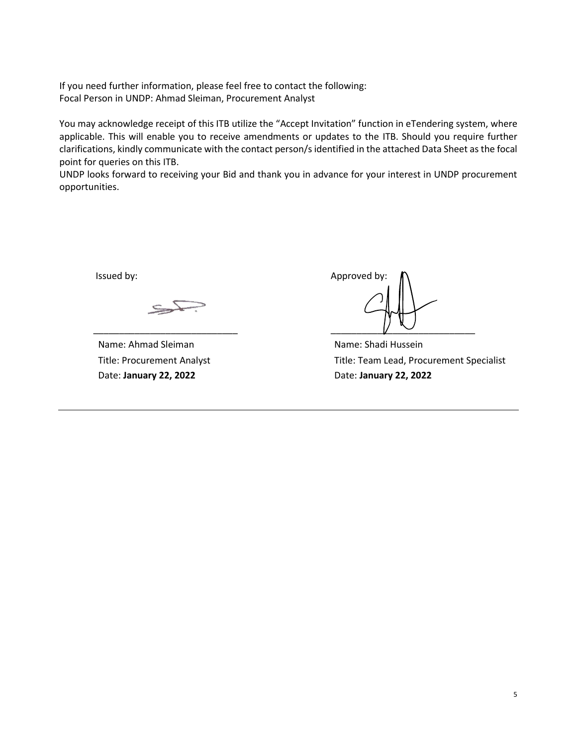If you need further information, please feel free to contact the following: Focal Person in UNDP: Ahmad Sleiman, Procurement Analyst

You may acknowledge receipt of this ITB utilize the "Accept Invitation" function in eTendering system, where applicable. This will enable you to receive amendments or updates to the ITB. Should you require further clarifications, kindly communicate with the contact person/s identified in the attached Data Sheet as the focal point for queries on this ITB.

UNDP looks forward to receiving your Bid and thank you in advance for your interest in UNDP procurement opportunities.

Name: Ahmad Sleiman Title: Procurement Analyst Date: **January 22, 2022**

Issued by:  $\blacksquare$ \_\_\_\_\_\_\_\_\_\_\_\_\_\_\_\_\_\_\_\_\_\_\_\_\_\_\_\_ \_\_\_\_\_\_\_\_\_\_\_\_\_\_\_\_\_\_\_\_\_\_\_\_\_\_\_\_

Name: Shadi Hussein Title: Team Lead, Procurement Specialist Date: **January 22, 2022**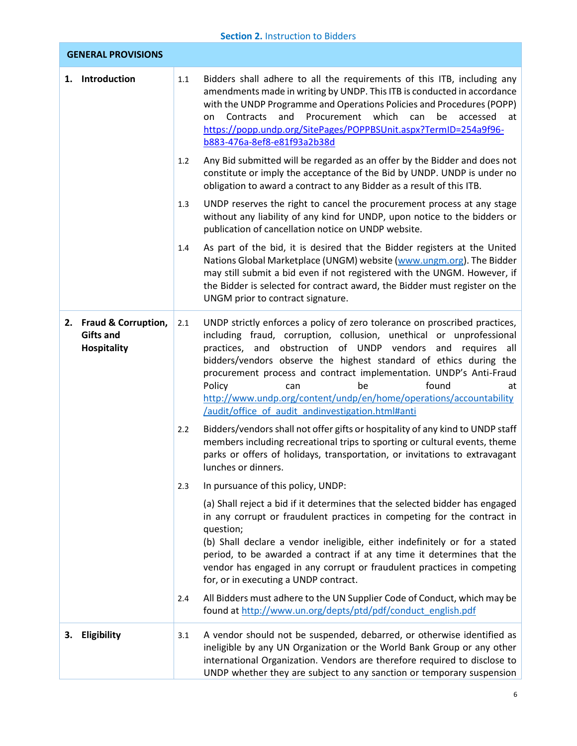<span id="page-5-4"></span><span id="page-5-3"></span><span id="page-5-2"></span><span id="page-5-1"></span><span id="page-5-0"></span>

|    |                                                                  |     | <b>Section 2. Instruction to Bidders</b>                                                                                                                                                                                                                                                                                                                                                                                                                                                                                        |
|----|------------------------------------------------------------------|-----|---------------------------------------------------------------------------------------------------------------------------------------------------------------------------------------------------------------------------------------------------------------------------------------------------------------------------------------------------------------------------------------------------------------------------------------------------------------------------------------------------------------------------------|
|    | <b>GENERAL PROVISIONS</b>                                        |     |                                                                                                                                                                                                                                                                                                                                                                                                                                                                                                                                 |
|    | 1. Introduction                                                  | 1.1 | Bidders shall adhere to all the requirements of this ITB, including any<br>amendments made in writing by UNDP. This ITB is conducted in accordance<br>with the UNDP Programme and Operations Policies and Procedures (POPP)<br>and<br>Procurement<br>which<br>can<br>be<br>Contracts<br>accessed<br>on<br>at<br>https://popp.undp.org/SitePages/POPPBSUnit.aspx?TermID=254a9f96-<br>b883-476a-8ef8-e81f93a2b38d                                                                                                                 |
|    |                                                                  | 1.2 | Any Bid submitted will be regarded as an offer by the Bidder and does not<br>constitute or imply the acceptance of the Bid by UNDP. UNDP is under no<br>obligation to award a contract to any Bidder as a result of this ITB.                                                                                                                                                                                                                                                                                                   |
|    |                                                                  | 1.3 | UNDP reserves the right to cancel the procurement process at any stage<br>without any liability of any kind for UNDP, upon notice to the bidders or<br>publication of cancellation notice on UNDP website.                                                                                                                                                                                                                                                                                                                      |
|    |                                                                  | 1.4 | As part of the bid, it is desired that the Bidder registers at the United<br>Nations Global Marketplace (UNGM) website (www.ungm.org). The Bidder<br>may still submit a bid even if not registered with the UNGM. However, if<br>the Bidder is selected for contract award, the Bidder must register on the<br>UNGM prior to contract signature.                                                                                                                                                                                |
|    | 2. Fraud & Corruption,<br><b>Gifts and</b><br><b>Hospitality</b> | 2.1 | UNDP strictly enforces a policy of zero tolerance on proscribed practices,<br>including fraud, corruption, collusion, unethical or unprofessional<br>obstruction of UNDP vendors and requires all<br>practices, and<br>bidders/vendors observe the highest standard of ethics during the<br>procurement process and contract implementation. UNDP's Anti-Fraud<br>found<br>Policy<br>can<br>be<br>at<br>http://www.undp.org/content/undp/en/home/operations/accountability<br>/audit/office of audit andinvestigation.html#anti |
|    |                                                                  | 2.2 | Bidders/vendors shall not offer gifts or hospitality of any kind to UNDP staff<br>members including recreational trips to sporting or cultural events, theme<br>parks or offers of holidays, transportation, or invitations to extravagant<br>lunches or dinners.                                                                                                                                                                                                                                                               |
|    |                                                                  | 2.3 | In pursuance of this policy, UNDP:                                                                                                                                                                                                                                                                                                                                                                                                                                                                                              |
|    |                                                                  |     | (a) Shall reject a bid if it determines that the selected bidder has engaged<br>in any corrupt or fraudulent practices in competing for the contract in<br>question;<br>(b) Shall declare a vendor ineligible, either indefinitely or for a stated<br>period, to be awarded a contract if at any time it determines that the<br>vendor has engaged in any corrupt or fraudulent practices in competing<br>for, or in executing a UNDP contract.                                                                                 |
|    |                                                                  | 2.4 | All Bidders must adhere to the UN Supplier Code of Conduct, which may be<br>found at http://www.un.org/depts/ptd/pdf/conduct_english.pdf                                                                                                                                                                                                                                                                                                                                                                                        |
| з. | Eligibility                                                      | 3.1 | A vendor should not be suspended, debarred, or otherwise identified as<br>ineligible by any UN Organization or the World Bank Group or any other<br>international Organization. Vendors are therefore required to disclose to<br>UNDP whether they are subject to any sanction or temporary suspension                                                                                                                                                                                                                          |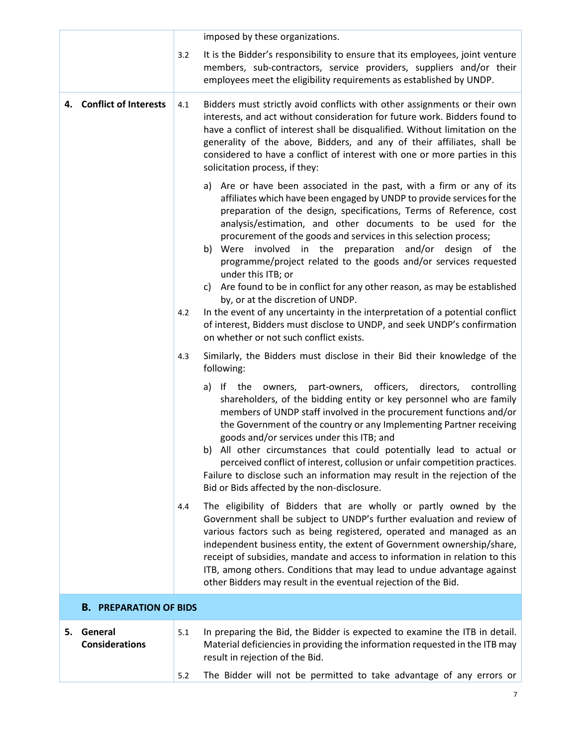<span id="page-6-2"></span><span id="page-6-1"></span><span id="page-6-0"></span>

|    |                                  |     | imposed by these organizations.                                                                                                                                                                                                                                                                                                                                                                                                                                                                                                                                                                                                                                                                                                                                                                                                                     |
|----|----------------------------------|-----|-----------------------------------------------------------------------------------------------------------------------------------------------------------------------------------------------------------------------------------------------------------------------------------------------------------------------------------------------------------------------------------------------------------------------------------------------------------------------------------------------------------------------------------------------------------------------------------------------------------------------------------------------------------------------------------------------------------------------------------------------------------------------------------------------------------------------------------------------------|
|    |                                  | 3.2 | It is the Bidder's responsibility to ensure that its employees, joint venture<br>members, sub-contractors, service providers, suppliers and/or their<br>employees meet the eligibility requirements as established by UNDP.                                                                                                                                                                                                                                                                                                                                                                                                                                                                                                                                                                                                                         |
|    | 4. Conflict of Interests         | 4.1 | Bidders must strictly avoid conflicts with other assignments or their own<br>interests, and act without consideration for future work. Bidders found to<br>have a conflict of interest shall be disqualified. Without limitation on the<br>generality of the above, Bidders, and any of their affiliates, shall be<br>considered to have a conflict of interest with one or more parties in this<br>solicitation process, if they:                                                                                                                                                                                                                                                                                                                                                                                                                  |
|    |                                  | 4.2 | a) Are or have been associated in the past, with a firm or any of its<br>affiliates which have been engaged by UNDP to provide services for the<br>preparation of the design, specifications, Terms of Reference, cost<br>analysis/estimation, and other documents to be used for the<br>procurement of the goods and services in this selection process;<br>involved in the preparation and/or design of the<br>Were<br>b)<br>programme/project related to the goods and/or services requested<br>under this ITB; or<br>Are found to be in conflict for any other reason, as may be established<br>C)<br>by, or at the discretion of UNDP.<br>In the event of any uncertainty in the interpretation of a potential conflict<br>of interest, Bidders must disclose to UNDP, and seek UNDP's confirmation<br>on whether or not such conflict exists. |
|    |                                  | 4.3 | Similarly, the Bidders must disclose in their Bid their knowledge of the<br>following:                                                                                                                                                                                                                                                                                                                                                                                                                                                                                                                                                                                                                                                                                                                                                              |
|    |                                  |     | a) If the owners, part-owners, officers, directors, controlling<br>shareholders, of the bidding entity or key personnel who are family<br>members of UNDP staff involved in the procurement functions and/or<br>the Government of the country or any Implementing Partner receiving<br>goods and/or services under this ITB; and<br>b) All other circumstances that could potentially lead to actual or<br>perceived conflict of interest, collusion or unfair competition practices.<br>Failure to disclose such an information may result in the rejection of the<br>Bid or Bids affected by the non-disclosure.                                                                                                                                                                                                                                  |
|    |                                  | 4.4 | The eligibility of Bidders that are wholly or partly owned by the<br>Government shall be subject to UNDP's further evaluation and review of<br>various factors such as being registered, operated and managed as an<br>independent business entity, the extent of Government ownership/share,<br>receipt of subsidies, mandate and access to information in relation to this<br>ITB, among others. Conditions that may lead to undue advantage against<br>other Bidders may result in the eventual rejection of the Bid.                                                                                                                                                                                                                                                                                                                            |
|    | <b>B. PREPARATION OF BIDS</b>    |     |                                                                                                                                                                                                                                                                                                                                                                                                                                                                                                                                                                                                                                                                                                                                                                                                                                                     |
| 5. | General<br><b>Considerations</b> | 5.1 | In preparing the Bid, the Bidder is expected to examine the ITB in detail.<br>Material deficiencies in providing the information requested in the ITB may<br>result in rejection of the Bid.                                                                                                                                                                                                                                                                                                                                                                                                                                                                                                                                                                                                                                                        |
|    |                                  | 5.2 | The Bidder will not be permitted to take advantage of any errors or                                                                                                                                                                                                                                                                                                                                                                                                                                                                                                                                                                                                                                                                                                                                                                                 |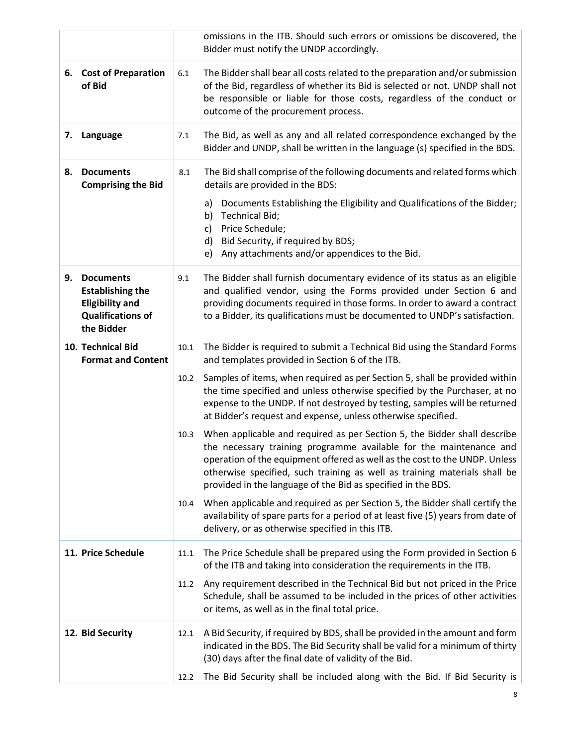<span id="page-7-6"></span><span id="page-7-5"></span><span id="page-7-4"></span><span id="page-7-3"></span><span id="page-7-2"></span><span id="page-7-1"></span><span id="page-7-0"></span>

|    |                                                                                                                 |      | omissions in the ITB. Should such errors or omissions be discovered, the<br>Bidder must notify the UNDP accordingly.                                                                                                                                                                                                                                                      |
|----|-----------------------------------------------------------------------------------------------------------------|------|---------------------------------------------------------------------------------------------------------------------------------------------------------------------------------------------------------------------------------------------------------------------------------------------------------------------------------------------------------------------------|
|    | 6. Cost of Preparation<br>of Bid                                                                                | 6.1  | The Bidder shall bear all costs related to the preparation and/or submission<br>of the Bid, regardless of whether its Bid is selected or not. UNDP shall not<br>be responsible or liable for those costs, regardless of the conduct or<br>outcome of the procurement process.                                                                                             |
| 7. | Language                                                                                                        | 7.1  | The Bid, as well as any and all related correspondence exchanged by the<br>Bidder and UNDP, shall be written in the language (s) specified in the BDS.                                                                                                                                                                                                                    |
| 8. | <b>Documents</b><br><b>Comprising the Bid</b>                                                                   | 8.1  | The Bid shall comprise of the following documents and related forms which<br>details are provided in the BDS:                                                                                                                                                                                                                                                             |
|    |                                                                                                                 |      | Documents Establishing the Eligibility and Qualifications of the Bidder;<br>a)<br><b>Technical Bid;</b><br>b)<br>Price Schedule;<br>c)<br>Bid Security, if required by BDS;<br>d)<br>Any attachments and/or appendices to the Bid.<br>e)                                                                                                                                  |
| 9. | <b>Documents</b><br><b>Establishing the</b><br><b>Eligibility and</b><br><b>Qualifications of</b><br>the Bidder | 9.1  | The Bidder shall furnish documentary evidence of its status as an eligible<br>and qualified vendor, using the Forms provided under Section 6 and<br>providing documents required in those forms. In order to award a contract<br>to a Bidder, its qualifications must be documented to UNDP's satisfaction.                                                               |
|    | 10. Technical Bid<br><b>Format and Content</b>                                                                  | 10.1 | The Bidder is required to submit a Technical Bid using the Standard Forms<br>and templates provided in Section 6 of the ITB.                                                                                                                                                                                                                                              |
|    |                                                                                                                 | 10.2 | Samples of items, when required as per Section 5, shall be provided within<br>the time specified and unless otherwise specified by the Purchaser, at no<br>expense to the UNDP. If not destroyed by testing, samples will be returned<br>at Bidder's request and expense, unless otherwise specified.                                                                     |
|    |                                                                                                                 | 10.3 | When applicable and required as per Section 5, the Bidder shall describe<br>the necessary training programme available for the maintenance and<br>operation of the equipment offered as well as the cost to the UNDP. Unless<br>otherwise specified, such training as well as training materials shall be<br>provided in the language of the Bid as specified in the BDS. |
|    |                                                                                                                 | 10.4 | When applicable and required as per Section 5, the Bidder shall certify the<br>availability of spare parts for a period of at least five (5) years from date of<br>delivery, or as otherwise specified in this ITB.                                                                                                                                                       |
|    | 11. Price Schedule                                                                                              | 11.1 | The Price Schedule shall be prepared using the Form provided in Section 6<br>of the ITB and taking into consideration the requirements in the ITB.                                                                                                                                                                                                                        |
|    |                                                                                                                 | 11.2 | Any requirement described in the Technical Bid but not priced in the Price<br>Schedule, shall be assumed to be included in the prices of other activities<br>or items, as well as in the final total price.                                                                                                                                                               |
|    | 12. Bid Security                                                                                                | 12.1 | A Bid Security, if required by BDS, shall be provided in the amount and form<br>indicated in the BDS. The Bid Security shall be valid for a minimum of thirty<br>(30) days after the final date of validity of the Bid.                                                                                                                                                   |
|    |                                                                                                                 | 12.2 | The Bid Security shall be included along with the Bid. If Bid Security is                                                                                                                                                                                                                                                                                                 |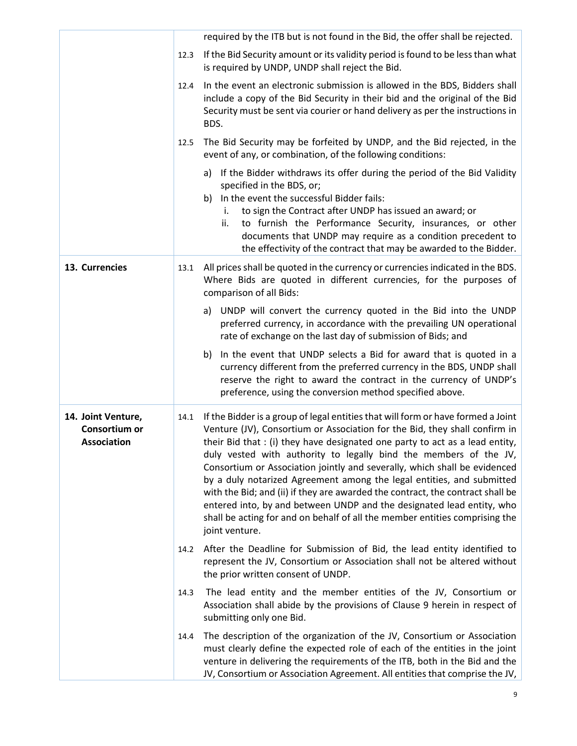<span id="page-8-1"></span><span id="page-8-0"></span>

|                                                           |      | required by the ITB but is not found in the Bid, the offer shall be rejected.                                                                                                                                                                                                                                                                                                                                                                                                                                                                                                                                                                                                                                                         |
|-----------------------------------------------------------|------|---------------------------------------------------------------------------------------------------------------------------------------------------------------------------------------------------------------------------------------------------------------------------------------------------------------------------------------------------------------------------------------------------------------------------------------------------------------------------------------------------------------------------------------------------------------------------------------------------------------------------------------------------------------------------------------------------------------------------------------|
|                                                           | 12.3 | If the Bid Security amount or its validity period is found to be less than what<br>is required by UNDP, UNDP shall reject the Bid.                                                                                                                                                                                                                                                                                                                                                                                                                                                                                                                                                                                                    |
|                                                           | 12.4 | In the event an electronic submission is allowed in the BDS, Bidders shall<br>include a copy of the Bid Security in their bid and the original of the Bid<br>Security must be sent via courier or hand delivery as per the instructions in<br>BDS.                                                                                                                                                                                                                                                                                                                                                                                                                                                                                    |
|                                                           | 12.5 | The Bid Security may be forfeited by UNDP, and the Bid rejected, in the<br>event of any, or combination, of the following conditions:                                                                                                                                                                                                                                                                                                                                                                                                                                                                                                                                                                                                 |
|                                                           |      | a) If the Bidder withdraws its offer during the period of the Bid Validity<br>specified in the BDS, or;<br>In the event the successful Bidder fails:<br>b)<br>to sign the Contract after UNDP has issued an award; or<br>i.<br>to furnish the Performance Security, insurances, or other<br>ii.<br>documents that UNDP may require as a condition precedent to<br>the effectivity of the contract that may be awarded to the Bidder.                                                                                                                                                                                                                                                                                                  |
| 13. Currencies                                            | 13.1 | All prices shall be quoted in the currency or currencies indicated in the BDS.<br>Where Bids are quoted in different currencies, for the purposes of<br>comparison of all Bids:                                                                                                                                                                                                                                                                                                                                                                                                                                                                                                                                                       |
|                                                           |      | a) UNDP will convert the currency quoted in the Bid into the UNDP<br>preferred currency, in accordance with the prevailing UN operational<br>rate of exchange on the last day of submission of Bids; and                                                                                                                                                                                                                                                                                                                                                                                                                                                                                                                              |
|                                                           |      | In the event that UNDP selects a Bid for award that is quoted in a<br>b)<br>currency different from the preferred currency in the BDS, UNDP shall<br>reserve the right to award the contract in the currency of UNDP's<br>preference, using the conversion method specified above.                                                                                                                                                                                                                                                                                                                                                                                                                                                    |
| 14. Joint Venture,<br>Consortium or<br><b>Association</b> | 14.1 | If the Bidder is a group of legal entities that will form or have formed a Joint<br>Venture (JV), Consortium or Association for the Bid, they shall confirm in<br>their Bid that : (i) they have designated one party to act as a lead entity,<br>duly vested with authority to legally bind the members of the JV,<br>Consortium or Association jointly and severally, which shall be evidenced<br>by a duly notarized Agreement among the legal entities, and submitted<br>with the Bid; and (ii) if they are awarded the contract, the contract shall be<br>entered into, by and between UNDP and the designated lead entity, who<br>shall be acting for and on behalf of all the member entities comprising the<br>joint venture. |
|                                                           | 14.2 | After the Deadline for Submission of Bid, the lead entity identified to<br>represent the JV, Consortium or Association shall not be altered without<br>the prior written consent of UNDP.                                                                                                                                                                                                                                                                                                                                                                                                                                                                                                                                             |
|                                                           | 14.3 | The lead entity and the member entities of the JV, Consortium or<br>Association shall abide by the provisions of Clause 9 herein in respect of<br>submitting only one Bid.                                                                                                                                                                                                                                                                                                                                                                                                                                                                                                                                                            |
|                                                           | 14.4 | The description of the organization of the JV, Consortium or Association<br>must clearly define the expected role of each of the entities in the joint<br>venture in delivering the requirements of the ITB, both in the Bid and the<br>JV, Consortium or Association Agreement. All entities that comprise the JV,                                                                                                                                                                                                                                                                                                                                                                                                                   |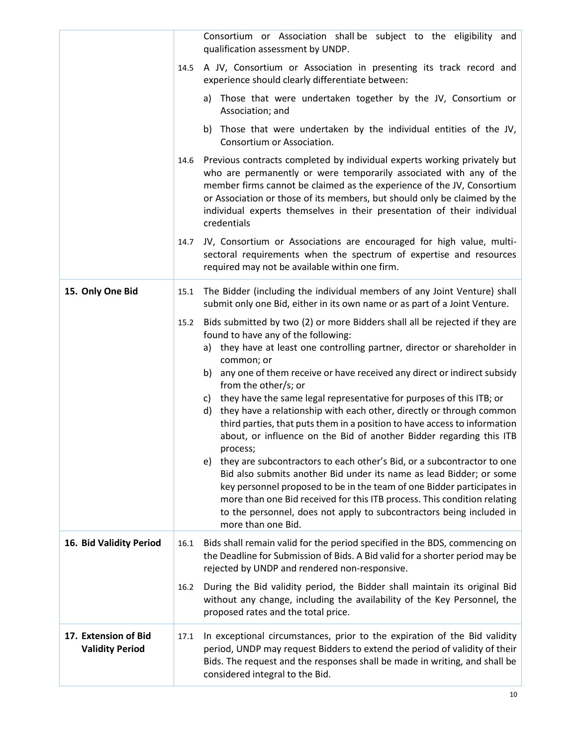<span id="page-9-2"></span><span id="page-9-1"></span><span id="page-9-0"></span>

|                                                | Consortium or Association shall be subject to the eligibility and                                                                                                                                                                                                                                                                                                                                                                                                                                                                                                                                                                                                                                                                                                                                                                                                                                                                                                                                                                                            |
|------------------------------------------------|--------------------------------------------------------------------------------------------------------------------------------------------------------------------------------------------------------------------------------------------------------------------------------------------------------------------------------------------------------------------------------------------------------------------------------------------------------------------------------------------------------------------------------------------------------------------------------------------------------------------------------------------------------------------------------------------------------------------------------------------------------------------------------------------------------------------------------------------------------------------------------------------------------------------------------------------------------------------------------------------------------------------------------------------------------------|
|                                                | qualification assessment by UNDP.                                                                                                                                                                                                                                                                                                                                                                                                                                                                                                                                                                                                                                                                                                                                                                                                                                                                                                                                                                                                                            |
|                                                | A JV, Consortium or Association in presenting its track record and<br>14.5<br>experience should clearly differentiate between:                                                                                                                                                                                                                                                                                                                                                                                                                                                                                                                                                                                                                                                                                                                                                                                                                                                                                                                               |
|                                                | a) Those that were undertaken together by the JV, Consortium or<br>Association; and                                                                                                                                                                                                                                                                                                                                                                                                                                                                                                                                                                                                                                                                                                                                                                                                                                                                                                                                                                          |
|                                                | Those that were undertaken by the individual entities of the JV,<br>b)<br>Consortium or Association.                                                                                                                                                                                                                                                                                                                                                                                                                                                                                                                                                                                                                                                                                                                                                                                                                                                                                                                                                         |
|                                                | Previous contracts completed by individual experts working privately but<br>14.6<br>who are permanently or were temporarily associated with any of the<br>member firms cannot be claimed as the experience of the JV, Consortium<br>or Association or those of its members, but should only be claimed by the<br>individual experts themselves in their presentation of their individual<br>credentials                                                                                                                                                                                                                                                                                                                                                                                                                                                                                                                                                                                                                                                      |
|                                                | JV, Consortium or Associations are encouraged for high value, multi-<br>14.7<br>sectoral requirements when the spectrum of expertise and resources<br>required may not be available within one firm.                                                                                                                                                                                                                                                                                                                                                                                                                                                                                                                                                                                                                                                                                                                                                                                                                                                         |
| 15. Only One Bid                               | The Bidder (including the individual members of any Joint Venture) shall<br>15.1<br>submit only one Bid, either in its own name or as part of a Joint Venture.                                                                                                                                                                                                                                                                                                                                                                                                                                                                                                                                                                                                                                                                                                                                                                                                                                                                                               |
|                                                | Bids submitted by two (2) or more Bidders shall all be rejected if they are<br>15.2<br>found to have any of the following:<br>a) they have at least one controlling partner, director or shareholder in<br>common; or<br>any one of them receive or have received any direct or indirect subsidy<br>b)<br>from the other/s; or<br>c) they have the same legal representative for purposes of this ITB; or<br>d) they have a relationship with each other, directly or through common<br>third parties, that puts them in a position to have access to information<br>about, or influence on the Bid of another Bidder regarding this ITB<br>process;<br>e) they are subcontractors to each other's Bid, or a subcontractor to one<br>Bid also submits another Bid under its name as lead Bidder; or some<br>key personnel proposed to be in the team of one Bidder participates in<br>more than one Bid received for this ITB process. This condition relating<br>to the personnel, does not apply to subcontractors being included in<br>more than one Bid. |
| 16. Bid Validity Period                        | Bids shall remain valid for the period specified in the BDS, commencing on<br>16.1<br>the Deadline for Submission of Bids. A Bid valid for a shorter period may be<br>rejected by UNDP and rendered non-responsive.                                                                                                                                                                                                                                                                                                                                                                                                                                                                                                                                                                                                                                                                                                                                                                                                                                          |
|                                                | During the Bid validity period, the Bidder shall maintain its original Bid<br>16.2<br>without any change, including the availability of the Key Personnel, the<br>proposed rates and the total price.                                                                                                                                                                                                                                                                                                                                                                                                                                                                                                                                                                                                                                                                                                                                                                                                                                                        |
| 17. Extension of Bid<br><b>Validity Period</b> | In exceptional circumstances, prior to the expiration of the Bid validity<br>17.1<br>period, UNDP may request Bidders to extend the period of validity of their<br>Bids. The request and the responses shall be made in writing, and shall be<br>considered integral to the Bid.                                                                                                                                                                                                                                                                                                                                                                                                                                                                                                                                                                                                                                                                                                                                                                             |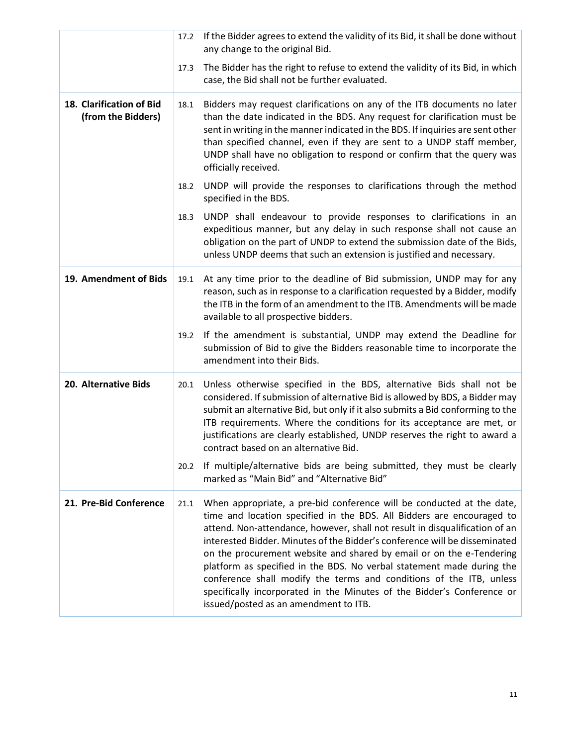<span id="page-10-3"></span><span id="page-10-2"></span><span id="page-10-1"></span><span id="page-10-0"></span>

|                                                | 17.2 | If the Bidder agrees to extend the validity of its Bid, it shall be done without<br>any change to the original Bid.                                                                                                                                                                                                                                                                                                                                                                                                                                                                                                                                    |
|------------------------------------------------|------|--------------------------------------------------------------------------------------------------------------------------------------------------------------------------------------------------------------------------------------------------------------------------------------------------------------------------------------------------------------------------------------------------------------------------------------------------------------------------------------------------------------------------------------------------------------------------------------------------------------------------------------------------------|
|                                                | 17.3 | The Bidder has the right to refuse to extend the validity of its Bid, in which<br>case, the Bid shall not be further evaluated.                                                                                                                                                                                                                                                                                                                                                                                                                                                                                                                        |
| 18. Clarification of Bid<br>(from the Bidders) | 18.1 | Bidders may request clarifications on any of the ITB documents no later<br>than the date indicated in the BDS. Any request for clarification must be<br>sent in writing in the manner indicated in the BDS. If inquiries are sent other<br>than specified channel, even if they are sent to a UNDP staff member,<br>UNDP shall have no obligation to respond or confirm that the query was<br>officially received.                                                                                                                                                                                                                                     |
|                                                | 18.2 | UNDP will provide the responses to clarifications through the method<br>specified in the BDS.                                                                                                                                                                                                                                                                                                                                                                                                                                                                                                                                                          |
|                                                | 18.3 | UNDP shall endeavour to provide responses to clarifications in an<br>expeditious manner, but any delay in such response shall not cause an<br>obligation on the part of UNDP to extend the submission date of the Bids,<br>unless UNDP deems that such an extension is justified and necessary.                                                                                                                                                                                                                                                                                                                                                        |
| 19. Amendment of Bids                          | 19.1 | At any time prior to the deadline of Bid submission, UNDP may for any<br>reason, such as in response to a clarification requested by a Bidder, modify<br>the ITB in the form of an amendment to the ITB. Amendments will be made<br>available to all prospective bidders.                                                                                                                                                                                                                                                                                                                                                                              |
|                                                | 19.2 | If the amendment is substantial, UNDP may extend the Deadline for<br>submission of Bid to give the Bidders reasonable time to incorporate the<br>amendment into their Bids.                                                                                                                                                                                                                                                                                                                                                                                                                                                                            |
| 20. Alternative Bids                           | 20.1 | Unless otherwise specified in the BDS, alternative Bids shall not be<br>considered. If submission of alternative Bid is allowed by BDS, a Bidder may<br>submit an alternative Bid, but only if it also submits a Bid conforming to the<br>ITB requirements. Where the conditions for its acceptance are met, or<br>justifications are clearly established, UNDP reserves the right to award a<br>contract based on an alternative Bid.                                                                                                                                                                                                                 |
|                                                | 20.2 | If multiple/alternative bids are being submitted, they must be clearly<br>marked as "Main Bid" and "Alternative Bid"                                                                                                                                                                                                                                                                                                                                                                                                                                                                                                                                   |
| 21. Pre-Bid Conference                         | 21.1 | When appropriate, a pre-bid conference will be conducted at the date,<br>time and location specified in the BDS. All Bidders are encouraged to<br>attend. Non-attendance, however, shall not result in disqualification of an<br>interested Bidder. Minutes of the Bidder's conference will be disseminated<br>on the procurement website and shared by email or on the e-Tendering<br>platform as specified in the BDS. No verbal statement made during the<br>conference shall modify the terms and conditions of the ITB, unless<br>specifically incorporated in the Minutes of the Bidder's Conference or<br>issued/posted as an amendment to ITB. |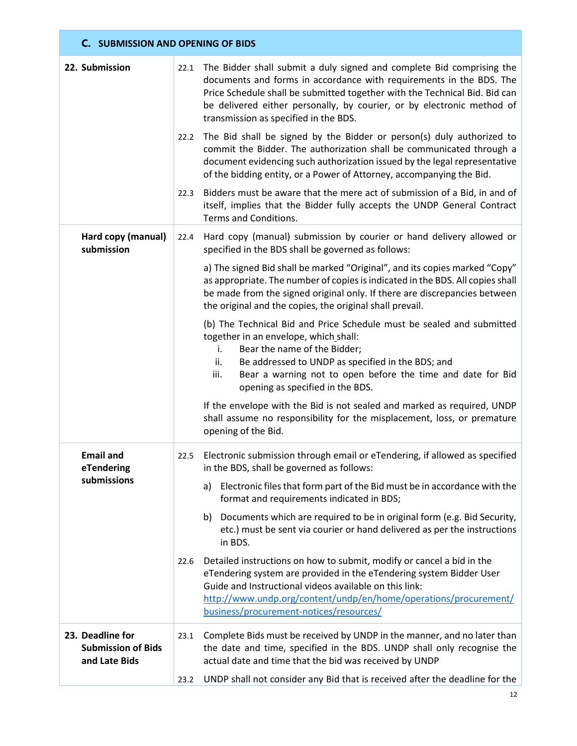# <span id="page-11-0"></span>**C. SUBMISSION AND OPENING OF BIDS**

<span id="page-11-4"></span><span id="page-11-3"></span><span id="page-11-2"></span><span id="page-11-1"></span>

| 22. Submission                                                 |      | 22.1 The Bidder shall submit a duly signed and complete Bid comprising the<br>documents and forms in accordance with requirements in the BDS. The<br>Price Schedule shall be submitted together with the Technical Bid. Bid can<br>be delivered either personally, by courier, or by electronic method of<br>transmission as specified in the BDS. |
|----------------------------------------------------------------|------|----------------------------------------------------------------------------------------------------------------------------------------------------------------------------------------------------------------------------------------------------------------------------------------------------------------------------------------------------|
|                                                                |      | 22.2 The Bid shall be signed by the Bidder or person(s) duly authorized to<br>commit the Bidder. The authorization shall be communicated through a<br>document evidencing such authorization issued by the legal representative<br>of the bidding entity, or a Power of Attorney, accompanying the Bid.                                            |
|                                                                | 22.3 | Bidders must be aware that the mere act of submission of a Bid, in and of<br>itself, implies that the Bidder fully accepts the UNDP General Contract<br>Terms and Conditions.                                                                                                                                                                      |
| Hard copy (manual)<br>submission                               | 22.4 | Hard copy (manual) submission by courier or hand delivery allowed or<br>specified in the BDS shall be governed as follows:                                                                                                                                                                                                                         |
|                                                                |      | a) The signed Bid shall be marked "Original", and its copies marked "Copy"<br>as appropriate. The number of copies is indicated in the BDS. All copies shall<br>be made from the signed original only. If there are discrepancies between<br>the original and the copies, the original shall prevail.                                              |
|                                                                |      | (b) The Technical Bid and Price Schedule must be sealed and submitted<br>together in an envelope, which shall:<br>Bear the name of the Bidder;<br>i.<br>Be addressed to UNDP as specified in the BDS; and<br>ii.<br>Bear a warning not to open before the time and date for Bid<br>iii.<br>opening as specified in the BDS.                        |
|                                                                |      | If the envelope with the Bid is not sealed and marked as required, UNDP<br>shall assume no responsibility for the misplacement, loss, or premature<br>opening of the Bid.                                                                                                                                                                          |
| <b>Email and</b><br>eTendering                                 | 22.5 | Electronic submission through email or eTendering, if allowed as specified<br>in the BDS, shall be governed as follows:                                                                                                                                                                                                                            |
| submissions                                                    |      | Electronic files that form part of the Bid must be in accordance with the<br>a)<br>format and requirements indicated in BDS;                                                                                                                                                                                                                       |
|                                                                |      | Documents which are required to be in original form (e.g. Bid Security,<br>b)<br>etc.) must be sent via courier or hand delivered as per the instructions<br>in BDS.                                                                                                                                                                               |
|                                                                | 22.6 | Detailed instructions on how to submit, modify or cancel a bid in the<br>eTendering system are provided in the eTendering system Bidder User<br>Guide and Instructional videos available on this link:<br>http://www.undp.org/content/undp/en/home/operations/procurement/<br>business/procurement-notices/resources/                              |
| 23. Deadline for<br><b>Submission of Bids</b><br>and Late Bids | 23.1 | Complete Bids must be received by UNDP in the manner, and no later than<br>the date and time, specified in the BDS. UNDP shall only recognise the<br>actual date and time that the bid was received by UNDP                                                                                                                                        |
|                                                                | 23.2 | UNDP shall not consider any Bid that is received after the deadline for the                                                                                                                                                                                                                                                                        |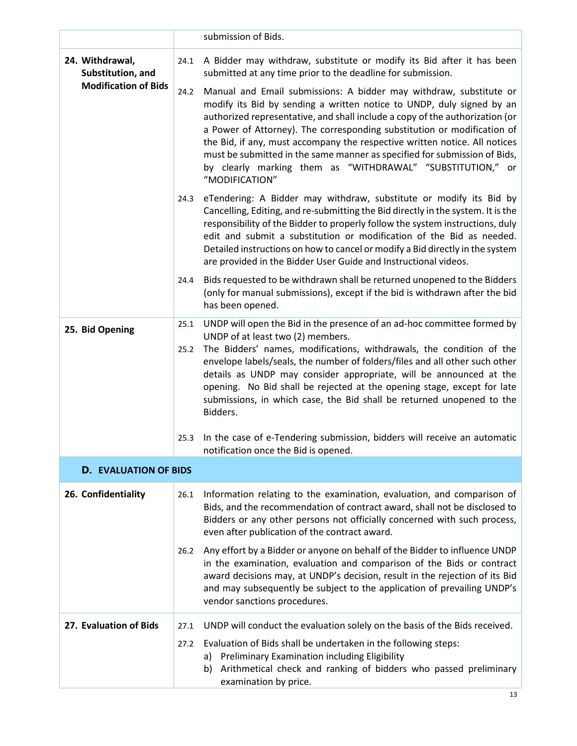<span id="page-12-4"></span><span id="page-12-3"></span><span id="page-12-2"></span><span id="page-12-1"></span><span id="page-12-0"></span>

|                                      |              | submission of Bids.                                                                                                                                                                                                                                                                                                                                                                                                                                                                                                                               |
|--------------------------------------|--------------|---------------------------------------------------------------------------------------------------------------------------------------------------------------------------------------------------------------------------------------------------------------------------------------------------------------------------------------------------------------------------------------------------------------------------------------------------------------------------------------------------------------------------------------------------|
|                                      |              |                                                                                                                                                                                                                                                                                                                                                                                                                                                                                                                                                   |
| 24. Withdrawal,<br>Substitution, and | 24.1         | A Bidder may withdraw, substitute or modify its Bid after it has been<br>submitted at any time prior to the deadline for submission.                                                                                                                                                                                                                                                                                                                                                                                                              |
| <b>Modification of Bids</b>          | 24.2         | Manual and Email submissions: A bidder may withdraw, substitute or<br>modify its Bid by sending a written notice to UNDP, duly signed by an<br>authorized representative, and shall include a copy of the authorization (or<br>a Power of Attorney). The corresponding substitution or modification of<br>the Bid, if any, must accompany the respective written notice. All notices<br>must be submitted in the same manner as specified for submission of Bids,<br>by clearly marking them as "WITHDRAWAL" "SUBSTITUTION," or<br>"MODIFICATION" |
|                                      | 24.3         | eTendering: A Bidder may withdraw, substitute or modify its Bid by<br>Cancelling, Editing, and re-submitting the Bid directly in the system. It is the<br>responsibility of the Bidder to properly follow the system instructions, duly<br>edit and submit a substitution or modification of the Bid as needed.<br>Detailed instructions on how to cancel or modify a Bid directly in the system<br>are provided in the Bidder User Guide and Instructional videos.                                                                               |
|                                      | 24.4         | Bids requested to be withdrawn shall be returned unopened to the Bidders<br>(only for manual submissions), except if the bid is withdrawn after the bid<br>has been opened.                                                                                                                                                                                                                                                                                                                                                                       |
| 25. Bid Opening                      | 25.1<br>25.2 | UNDP will open the Bid in the presence of an ad-hoc committee formed by<br>UNDP of at least two (2) members.<br>The Bidders' names, modifications, withdrawals, the condition of the<br>envelope labels/seals, the number of folders/files and all other such other<br>details as UNDP may consider appropriate, will be announced at the<br>opening. No Bid shall be rejected at the opening stage, except for late<br>submissions, in which case, the Bid shall be returned unopened to the<br>Bidders.                                         |
|                                      | 25.3         | In the case of e-Tendering submission, bidders will receive an automatic<br>notification once the Bid is opened.                                                                                                                                                                                                                                                                                                                                                                                                                                  |
| <b>D. EVALUATION OF BIDS</b>         |              |                                                                                                                                                                                                                                                                                                                                                                                                                                                                                                                                                   |
| 26. Confidentiality                  | 26.1         | Information relating to the examination, evaluation, and comparison of<br>Bids, and the recommendation of contract award, shall not be disclosed to<br>Bidders or any other persons not officially concerned with such process,<br>even after publication of the contract award.                                                                                                                                                                                                                                                                  |
|                                      | 26.2         | Any effort by a Bidder or anyone on behalf of the Bidder to influence UNDP<br>in the examination, evaluation and comparison of the Bids or contract<br>award decisions may, at UNDP's decision, result in the rejection of its Bid<br>and may subsequently be subject to the application of prevailing UNDP's<br>vendor sanctions procedures.                                                                                                                                                                                                     |
| 27. Evaluation of Bids               | 27.1         | UNDP will conduct the evaluation solely on the basis of the Bids received.                                                                                                                                                                                                                                                                                                                                                                                                                                                                        |
|                                      | 27.2         | Evaluation of Bids shall be undertaken in the following steps:<br>a) Preliminary Examination including Eligibility<br>Arithmetical check and ranking of bidders who passed preliminary<br>b)<br>examination by price.                                                                                                                                                                                                                                                                                                                             |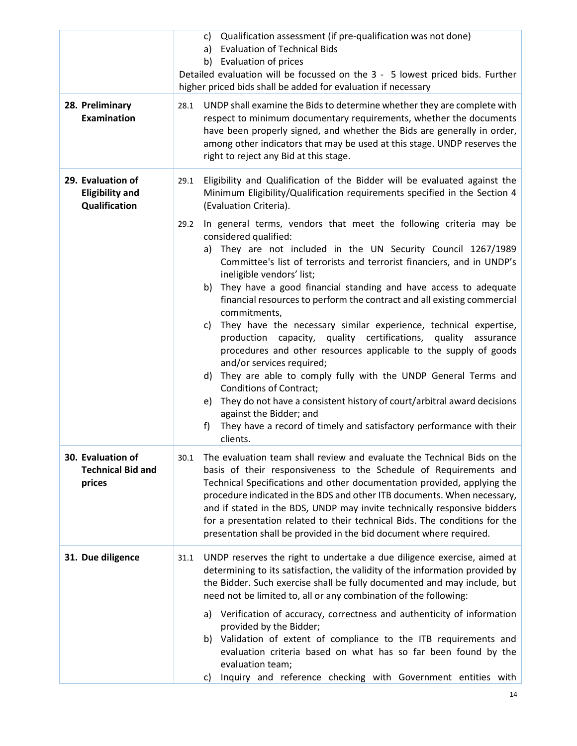<span id="page-13-3"></span><span id="page-13-2"></span><span id="page-13-1"></span><span id="page-13-0"></span>

| 28. Preliminary<br>Examination                               | c) Qualification assessment (if pre-qualification was not done)<br><b>Evaluation of Technical Bids</b><br>a)<br>b) Evaluation of prices<br>Detailed evaluation will be focussed on the 3 - 5 lowest priced bids. Further<br>higher priced bids shall be added for evaluation if necessary<br>UNDP shall examine the Bids to determine whether they are complete with<br>28.1<br>respect to minimum documentary requirements, whether the documents<br>have been properly signed, and whether the Bids are generally in order,<br>among other indicators that may be used at this stage. UNDP reserves the<br>right to reject any Bid at this stage.                                                                                                                                                                                                                                                                                                                                                                                                                                                                                                                                     |
|--------------------------------------------------------------|-----------------------------------------------------------------------------------------------------------------------------------------------------------------------------------------------------------------------------------------------------------------------------------------------------------------------------------------------------------------------------------------------------------------------------------------------------------------------------------------------------------------------------------------------------------------------------------------------------------------------------------------------------------------------------------------------------------------------------------------------------------------------------------------------------------------------------------------------------------------------------------------------------------------------------------------------------------------------------------------------------------------------------------------------------------------------------------------------------------------------------------------------------------------------------------------|
| 29. Evaluation of<br><b>Eligibility and</b><br>Qualification | Eligibility and Qualification of the Bidder will be evaluated against the<br>29.1<br>Minimum Eligibility/Qualification requirements specified in the Section 4<br>(Evaluation Criteria).<br>In general terms, vendors that meet the following criteria may be<br>29.2<br>considered qualified:<br>They are not included in the UN Security Council 1267/1989<br>a)<br>Committee's list of terrorists and terrorist financiers, and in UNDP's<br>ineligible vendors' list;<br>b) They have a good financial standing and have access to adequate<br>financial resources to perform the contract and all existing commercial<br>commitments,<br>They have the necessary similar experience, technical expertise,<br>C)<br>production capacity, quality certifications, quality assurance<br>procedures and other resources applicable to the supply of goods<br>and/or services required;<br>They are able to comply fully with the UNDP General Terms and<br>d)<br><b>Conditions of Contract;</b><br>e) They do not have a consistent history of court/arbitral award decisions<br>against the Bidder; and<br>They have a record of timely and satisfactory performance with their<br>f) |
| 30. Evaluation of<br><b>Technical Bid and</b><br>prices      | clients.<br>The evaluation team shall review and evaluate the Technical Bids on the<br>30.1<br>basis of their responsiveness to the Schedule of Requirements and<br>Technical Specifications and other documentation provided, applying the<br>procedure indicated in the BDS and other ITB documents. When necessary,<br>and if stated in the BDS, UNDP may invite technically responsive bidders<br>for a presentation related to their technical Bids. The conditions for the<br>presentation shall be provided in the bid document where required.                                                                                                                                                                                                                                                                                                                                                                                                                                                                                                                                                                                                                                  |
| 31. Due diligence                                            | UNDP reserves the right to undertake a due diligence exercise, aimed at<br>31.1<br>determining to its satisfaction, the validity of the information provided by<br>the Bidder. Such exercise shall be fully documented and may include, but<br>need not be limited to, all or any combination of the following:<br>Verification of accuracy, correctness and authenticity of information<br>a)<br>provided by the Bidder;<br>Validation of extent of compliance to the ITB requirements and<br>b)<br>evaluation criteria based on what has so far been found by the<br>evaluation team;<br>Inquiry and reference checking with Government entities with<br>C)                                                                                                                                                                                                                                                                                                                                                                                                                                                                                                                           |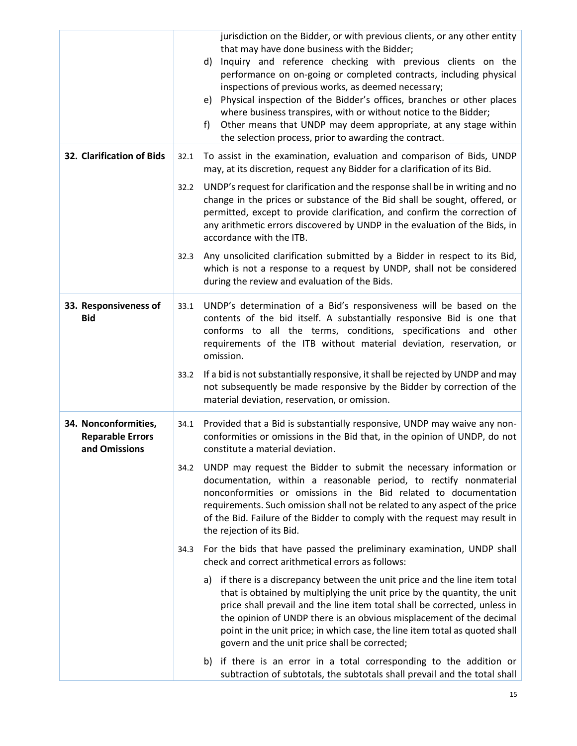<span id="page-14-2"></span><span id="page-14-1"></span><span id="page-14-0"></span>

|                                                                  |      | jurisdiction on the Bidder, or with previous clients, or any other entity<br>that may have done business with the Bidder;<br>Inquiry and reference checking with previous clients on the<br>d)<br>performance on on-going or completed contracts, including physical<br>inspections of previous works, as deemed necessary;<br>Physical inspection of the Bidder's offices, branches or other places<br>e)<br>where business transpires, with or without notice to the Bidder;<br>Other means that UNDP may deem appropriate, at any stage within<br>f)<br>the selection process, prior to awarding the contract. |
|------------------------------------------------------------------|------|-------------------------------------------------------------------------------------------------------------------------------------------------------------------------------------------------------------------------------------------------------------------------------------------------------------------------------------------------------------------------------------------------------------------------------------------------------------------------------------------------------------------------------------------------------------------------------------------------------------------|
| 32. Clarification of Bids                                        | 32.1 | To assist in the examination, evaluation and comparison of Bids, UNDP<br>may, at its discretion, request any Bidder for a clarification of its Bid.                                                                                                                                                                                                                                                                                                                                                                                                                                                               |
|                                                                  | 32.2 | UNDP's request for clarification and the response shall be in writing and no<br>change in the prices or substance of the Bid shall be sought, offered, or<br>permitted, except to provide clarification, and confirm the correction of<br>any arithmetic errors discovered by UNDP in the evaluation of the Bids, in<br>accordance with the ITB.                                                                                                                                                                                                                                                                  |
|                                                                  | 32.3 | Any unsolicited clarification submitted by a Bidder in respect to its Bid,<br>which is not a response to a request by UNDP, shall not be considered<br>during the review and evaluation of the Bids.                                                                                                                                                                                                                                                                                                                                                                                                              |
| 33. Responsiveness of<br><b>Bid</b>                              | 33.1 | UNDP's determination of a Bid's responsiveness will be based on the<br>contents of the bid itself. A substantially responsive Bid is one that<br>conforms to all the terms, conditions, specifications and other<br>requirements of the ITB without material deviation, reservation, or<br>omission.                                                                                                                                                                                                                                                                                                              |
|                                                                  | 33.2 | If a bid is not substantially responsive, it shall be rejected by UNDP and may<br>not subsequently be made responsive by the Bidder by correction of the<br>material deviation, reservation, or omission.                                                                                                                                                                                                                                                                                                                                                                                                         |
| 34. Nonconformities,<br><b>Reparable Errors</b><br>and Omissions |      | 34.1 Provided that a Bid is substantially responsive, UNDP may waive any non-<br>conformities or omissions in the Bid that, in the opinion of UNDP, do not<br>constitute a material deviation.                                                                                                                                                                                                                                                                                                                                                                                                                    |
|                                                                  | 34.2 | UNDP may request the Bidder to submit the necessary information or<br>documentation, within a reasonable period, to rectify nonmaterial<br>nonconformities or omissions in the Bid related to documentation<br>requirements. Such omission shall not be related to any aspect of the price<br>of the Bid. Failure of the Bidder to comply with the request may result in<br>the rejection of its Bid.                                                                                                                                                                                                             |
|                                                                  | 34.3 | For the bids that have passed the preliminary examination, UNDP shall<br>check and correct arithmetical errors as follows:                                                                                                                                                                                                                                                                                                                                                                                                                                                                                        |
|                                                                  |      | if there is a discrepancy between the unit price and the line item total<br>a)<br>that is obtained by multiplying the unit price by the quantity, the unit<br>price shall prevail and the line item total shall be corrected, unless in<br>the opinion of UNDP there is an obvious misplacement of the decimal<br>point in the unit price; in which case, the line item total as quoted shall<br>govern and the unit price shall be corrected;                                                                                                                                                                    |
|                                                                  |      | if there is an error in a total corresponding to the addition or<br>b)<br>subtraction of subtotals, the subtotals shall prevail and the total shall                                                                                                                                                                                                                                                                                                                                                                                                                                                               |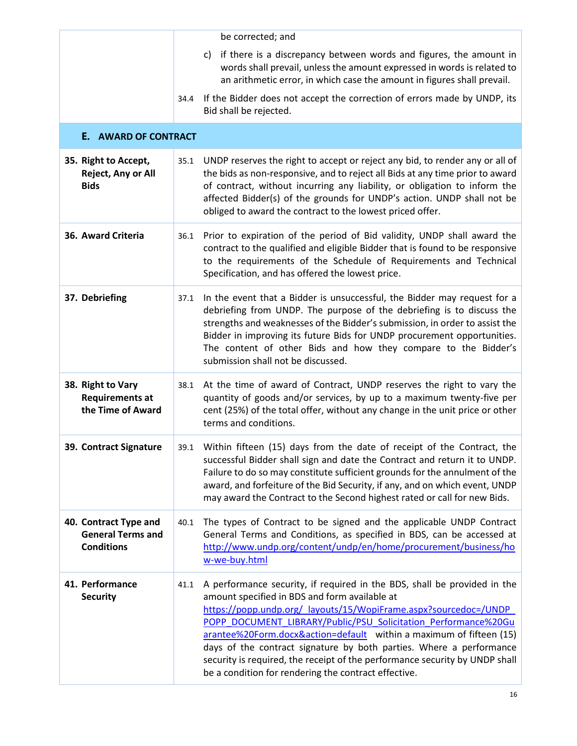<span id="page-15-7"></span><span id="page-15-6"></span><span id="page-15-5"></span><span id="page-15-4"></span><span id="page-15-3"></span><span id="page-15-2"></span><span id="page-15-1"></span><span id="page-15-0"></span>

|                                                                        |      | be corrected; and                                                                                                                                                                                                                                                                                                                                                                                                                                                                                                                                    |
|------------------------------------------------------------------------|------|------------------------------------------------------------------------------------------------------------------------------------------------------------------------------------------------------------------------------------------------------------------------------------------------------------------------------------------------------------------------------------------------------------------------------------------------------------------------------------------------------------------------------------------------------|
|                                                                        |      | if there is a discrepancy between words and figures, the amount in<br>C)<br>words shall prevail, unless the amount expressed in words is related to<br>an arithmetic error, in which case the amount in figures shall prevail.                                                                                                                                                                                                                                                                                                                       |
|                                                                        | 34.4 | If the Bidder does not accept the correction of errors made by UNDP, its<br>Bid shall be rejected.                                                                                                                                                                                                                                                                                                                                                                                                                                                   |
| <b>E. AWARD OF CONTRACT</b>                                            |      |                                                                                                                                                                                                                                                                                                                                                                                                                                                                                                                                                      |
| 35. Right to Accept,<br>Reject, Any or All<br><b>Bids</b>              | 35.1 | UNDP reserves the right to accept or reject any bid, to render any or all of<br>the bids as non-responsive, and to reject all Bids at any time prior to award<br>of contract, without incurring any liability, or obligation to inform the<br>affected Bidder(s) of the grounds for UNDP's action. UNDP shall not be<br>obliged to award the contract to the lowest priced offer.                                                                                                                                                                    |
| 36. Award Criteria                                                     | 36.1 | Prior to expiration of the period of Bid validity, UNDP shall award the<br>contract to the qualified and eligible Bidder that is found to be responsive<br>to the requirements of the Schedule of Requirements and Technical<br>Specification, and has offered the lowest price.                                                                                                                                                                                                                                                                     |
| 37. Debriefing                                                         | 37.1 | In the event that a Bidder is unsuccessful, the Bidder may request for a<br>debriefing from UNDP. The purpose of the debriefing is to discuss the<br>strengths and weaknesses of the Bidder's submission, in order to assist the<br>Bidder in improving its future Bids for UNDP procurement opportunities.<br>The content of other Bids and how they compare to the Bidder's<br>submission shall not be discussed.                                                                                                                                  |
| 38. Right to Vary<br><b>Requirements at</b><br>the Time of Award       | 38.1 | At the time of award of Contract, UNDP reserves the right to vary the<br>quantity of goods and/or services, by up to a maximum twenty-five per<br>cent (25%) of the total offer, without any change in the unit price or other<br>terms and conditions.                                                                                                                                                                                                                                                                                              |
| 39. Contract Signature                                                 |      | 39.1 Within fifteen (15) days from the date of receipt of the Contract, the<br>successful Bidder shall sign and date the Contract and return it to UNDP.<br>Failure to do so may constitute sufficient grounds for the annulment of the<br>award, and forfeiture of the Bid Security, if any, and on which event, UNDP<br>may award the Contract to the Second highest rated or call for new Bids.                                                                                                                                                   |
| 40. Contract Type and<br><b>General Terms and</b><br><b>Conditions</b> | 40.1 | The types of Contract to be signed and the applicable UNDP Contract<br>General Terms and Conditions, as specified in BDS, can be accessed at<br>http://www.undp.org/content/undp/en/home/procurement/business/ho<br>w-we-buy.html                                                                                                                                                                                                                                                                                                                    |
| 41. Performance<br><b>Security</b>                                     | 41.1 | A performance security, if required in the BDS, shall be provided in the<br>amount specified in BDS and form available at<br>https://popp.undp.org/ layouts/15/WopiFrame.aspx?sourcedoc=/UNDP<br>POPP DOCUMENT LIBRARY/Public/PSU Solicitation Performance%20Gu<br>arantee%20Form.docx&action=default within a maximum of fifteen (15)<br>days of the contract signature by both parties. Where a performance<br>security is required, the receipt of the performance security by UNDP shall<br>be a condition for rendering the contract effective. |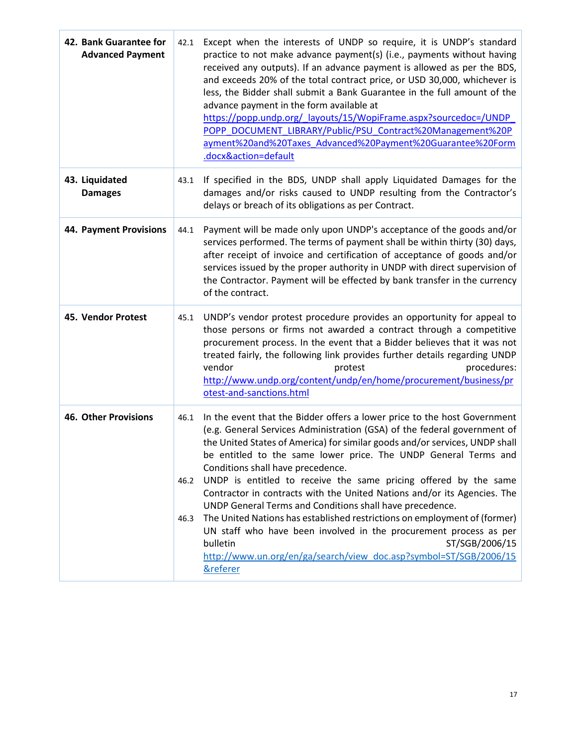<span id="page-16-4"></span><span id="page-16-3"></span><span id="page-16-2"></span><span id="page-16-1"></span><span id="page-16-0"></span>

| 42. Bank Guarantee for<br><b>Advanced Payment</b> | 42.1                 | Except when the interests of UNDP so require, it is UNDP's standard<br>practice to not make advance payment(s) (i.e., payments without having<br>received any outputs). If an advance payment is allowed as per the BDS,<br>and exceeds 20% of the total contract price, or USD 30,000, whichever is<br>less, the Bidder shall submit a Bank Guarantee in the full amount of the<br>advance payment in the form available at<br>https://popp.undp.org/ layouts/15/WopiFrame.aspx?sourcedoc=/UNDP<br>POPP DOCUMENT LIBRARY/Public/PSU Contract%20Management%20P<br>ayment%20and%20Taxes Advanced%20Payment%20Guarantee%20Form<br>.docx&action=default                                                                                                                                                                                |
|---------------------------------------------------|----------------------|-------------------------------------------------------------------------------------------------------------------------------------------------------------------------------------------------------------------------------------------------------------------------------------------------------------------------------------------------------------------------------------------------------------------------------------------------------------------------------------------------------------------------------------------------------------------------------------------------------------------------------------------------------------------------------------------------------------------------------------------------------------------------------------------------------------------------------------|
| 43. Liquidated<br><b>Damages</b>                  | 43.1                 | If specified in the BDS, UNDP shall apply Liquidated Damages for the<br>damages and/or risks caused to UNDP resulting from the Contractor's<br>delays or breach of its obligations as per Contract.                                                                                                                                                                                                                                                                                                                                                                                                                                                                                                                                                                                                                                 |
| <b>44. Payment Provisions</b>                     | 44.1                 | Payment will be made only upon UNDP's acceptance of the goods and/or<br>services performed. The terms of payment shall be within thirty (30) days,<br>after receipt of invoice and certification of acceptance of goods and/or<br>services issued by the proper authority in UNDP with direct supervision of<br>the Contractor. Payment will be effected by bank transfer in the currency<br>of the contract.                                                                                                                                                                                                                                                                                                                                                                                                                       |
| 45. Vendor Protest                                | 45.1                 | UNDP's vendor protest procedure provides an opportunity for appeal to<br>those persons or firms not awarded a contract through a competitive<br>procurement process. In the event that a Bidder believes that it was not<br>treated fairly, the following link provides further details regarding UNDP<br>vendor<br>procedures:<br>protest<br>http://www.undp.org/content/undp/en/home/procurement/business/pr<br>otest-and-sanctions.html                                                                                                                                                                                                                                                                                                                                                                                          |
| 46. Other Provisions                              | 46.1<br>46.2<br>46.3 | In the event that the Bidder offers a lower price to the host Government<br>(e.g. General Services Administration (GSA) of the federal government of<br>the United States of America) for similar goods and/or services, UNDP shall<br>be entitled to the same lower price. The UNDP General Terms and<br>Conditions shall have precedence.<br>UNDP is entitled to receive the same pricing offered by the same<br>Contractor in contracts with the United Nations and/or its Agencies. The<br>UNDP General Terms and Conditions shall have precedence.<br>The United Nations has established restrictions on employment of (former)<br>UN staff who have been involved in the procurement process as per<br>ST/SGB/2006/15<br>bulletin<br>http://www.un.org/en/ga/search/view doc.asp?symbol=ST/SGB/2006/15<br><b>&amp;referer</b> |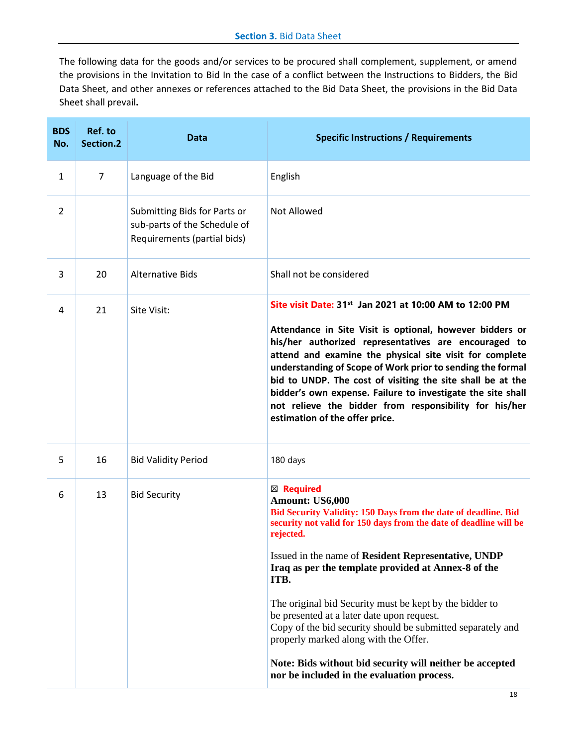<span id="page-17-0"></span>The following data for the goods and/or services to be procured shall complement, supplement, or amend the provisions in the Invitation to Bid In the case of a conflict between the Instructions to Bidders, the Bid Data Sheet, and other annexes or references attached to the Bid Data Sheet, the provisions in the Bid Data Sheet shall prevail**.**

| <b>BDS</b><br>No. | Ref. to<br>Section.2 | <b>Data</b>                                                                                 | <b>Specific Instructions / Requirements</b>                                                                                                                                                                                                                                                                                                                                                                                                                        |
|-------------------|----------------------|---------------------------------------------------------------------------------------------|--------------------------------------------------------------------------------------------------------------------------------------------------------------------------------------------------------------------------------------------------------------------------------------------------------------------------------------------------------------------------------------------------------------------------------------------------------------------|
| $\mathbf{1}$      | $\overline{7}$       | Language of the Bid                                                                         | English                                                                                                                                                                                                                                                                                                                                                                                                                                                            |
| 2                 |                      | Submitting Bids for Parts or<br>sub-parts of the Schedule of<br>Requirements (partial bids) | <b>Not Allowed</b>                                                                                                                                                                                                                                                                                                                                                                                                                                                 |
| 3                 | 20                   | <b>Alternative Bids</b>                                                                     | Shall not be considered                                                                                                                                                                                                                                                                                                                                                                                                                                            |
| 4                 | 21                   | Site Visit:                                                                                 | Site visit Date: 31 <sup>st</sup> Jan 2021 at 10:00 AM to 12:00 PM                                                                                                                                                                                                                                                                                                                                                                                                 |
|                   |                      |                                                                                             | Attendance in Site Visit is optional, however bidders or<br>his/her authorized representatives are encouraged to<br>attend and examine the physical site visit for complete<br>understanding of Scope of Work prior to sending the formal<br>bid to UNDP. The cost of visiting the site shall be at the<br>bidder's own expense. Failure to investigate the site shall<br>not relieve the bidder from responsibility for his/her<br>estimation of the offer price. |
| 5                 | 16                   | <b>Bid Validity Period</b>                                                                  | 180 days                                                                                                                                                                                                                                                                                                                                                                                                                                                           |
| 6                 | 13                   | <b>Bid Security</b>                                                                         | ⊠ Required<br>Amount: US6,000<br>Bid Security Validity: 150 Days from the date of deadline. Bid<br>security not valid for 150 days from the date of deadline will be<br>rejected.                                                                                                                                                                                                                                                                                  |
|                   |                      |                                                                                             | Issued in the name of Resident Representative, UNDP<br>Iraq as per the template provided at Annex-8 of the<br>ITB.                                                                                                                                                                                                                                                                                                                                                 |
|                   |                      |                                                                                             | The original bid Security must be kept by the bidder to<br>be presented at a later date upon request.<br>Copy of the bid security should be submitted separately and<br>properly marked along with the Offer.                                                                                                                                                                                                                                                      |
|                   |                      |                                                                                             | Note: Bids without bid security will neither be accepted<br>nor be included in the evaluation process.                                                                                                                                                                                                                                                                                                                                                             |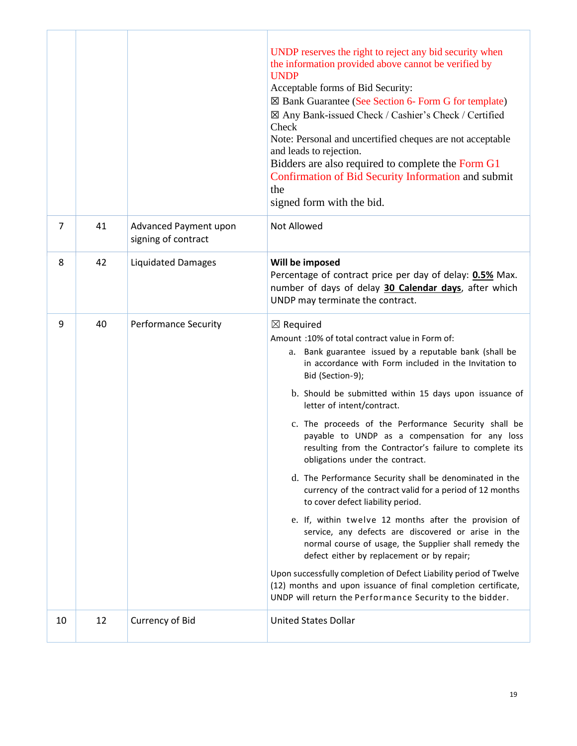|    |    |                                              | UNDP reserves the right to reject any bid security when<br>the information provided above cannot be verified by<br><b>UNDP</b><br>Acceptable forms of Bid Security:<br>$\boxtimes$ Bank Guarantee (See Section 6- Form G for template)<br>⊠ Any Bank-issued Check / Cashier's Check / Certified<br>Check<br>Note: Personal and uncertified cheques are not acceptable<br>and leads to rejection.<br>Bidders are also required to complete the Form G1<br>Confirmation of Bid Security Information and submit<br>the<br>signed form with the bid.                                                                                                                                                                                                                                                                                                                                                                                                                                                                                                                                                     |
|----|----|----------------------------------------------|------------------------------------------------------------------------------------------------------------------------------------------------------------------------------------------------------------------------------------------------------------------------------------------------------------------------------------------------------------------------------------------------------------------------------------------------------------------------------------------------------------------------------------------------------------------------------------------------------------------------------------------------------------------------------------------------------------------------------------------------------------------------------------------------------------------------------------------------------------------------------------------------------------------------------------------------------------------------------------------------------------------------------------------------------------------------------------------------------|
| 7  | 41 | Advanced Payment upon<br>signing of contract | <b>Not Allowed</b>                                                                                                                                                                                                                                                                                                                                                                                                                                                                                                                                                                                                                                                                                                                                                                                                                                                                                                                                                                                                                                                                                   |
| 8  | 42 | <b>Liquidated Damages</b>                    | Will be imposed<br>Percentage of contract price per day of delay: 0.5% Max.<br>number of days of delay 30 Calendar days, after which<br>UNDP may terminate the contract.                                                                                                                                                                                                                                                                                                                                                                                                                                                                                                                                                                                                                                                                                                                                                                                                                                                                                                                             |
| 9  | 40 | <b>Performance Security</b>                  | $\boxtimes$ Required<br>Amount :10% of total contract value in Form of:<br>a. Bank guarantee issued by a reputable bank (shall be<br>in accordance with Form included in the Invitation to<br>Bid (Section-9);<br>b. Should be submitted within 15 days upon issuance of<br>letter of intent/contract.<br>c. The proceeds of the Performance Security shall be<br>payable to UNDP as a compensation for any loss<br>resulting from the Contractor's failure to complete its<br>obligations under the contract.<br>d. The Performance Security shall be denominated in the<br>currency of the contract valid for a period of 12 months<br>to cover defect liability period.<br>e. If, within twelve 12 months after the provision of<br>service, any defects are discovered or arise in the<br>normal course of usage, the Supplier shall remedy the<br>defect either by replacement or by repair;<br>Upon successfully completion of Defect Liability period of Twelve<br>(12) months and upon issuance of final completion certificate,<br>UNDP will return the Performance Security to the bidder. |
| 10 | 12 | Currency of Bid                              | <b>United States Dollar</b>                                                                                                                                                                                                                                                                                                                                                                                                                                                                                                                                                                                                                                                                                                                                                                                                                                                                                                                                                                                                                                                                          |

F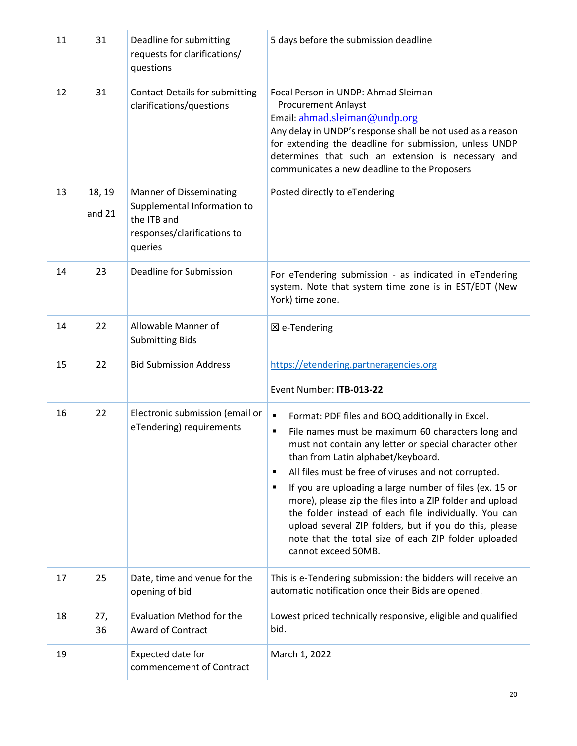| 11 | 31                 | Deadline for submitting<br>requests for clarifications/<br>questions                                                   | 5 days before the submission deadline                                                                                                                                                                                                                                                                                                                                                                                                                                                                                                             |  |
|----|--------------------|------------------------------------------------------------------------------------------------------------------------|---------------------------------------------------------------------------------------------------------------------------------------------------------------------------------------------------------------------------------------------------------------------------------------------------------------------------------------------------------------------------------------------------------------------------------------------------------------------------------------------------------------------------------------------------|--|
| 12 | 31                 | <b>Contact Details for submitting</b><br>clarifications/questions                                                      | Focal Person in UNDP: Ahmad Sleiman<br><b>Procurement Anlayst</b><br>Email: ahmad.sleiman@undp.org<br>Any delay in UNDP's response shall be not used as a reason<br>for extending the deadline for submission, unless UNDP<br>determines that such an extension is necessary and<br>communicates a new deadline to the Proposers                                                                                                                                                                                                                  |  |
| 13 | 18, 19<br>and $21$ | <b>Manner of Disseminating</b><br>Supplemental Information to<br>the ITB and<br>responses/clarifications to<br>queries | Posted directly to eTendering                                                                                                                                                                                                                                                                                                                                                                                                                                                                                                                     |  |
| 14 | 23                 | Deadline for Submission                                                                                                | For eTendering submission - as indicated in eTendering<br>system. Note that system time zone is in EST/EDT (New<br>York) time zone.                                                                                                                                                                                                                                                                                                                                                                                                               |  |
| 14 | 22                 | Allowable Manner of<br><b>Submitting Bids</b>                                                                          | $\boxtimes$ e-Tendering                                                                                                                                                                                                                                                                                                                                                                                                                                                                                                                           |  |
| 15 | 22                 | <b>Bid Submission Address</b>                                                                                          | https://etendering.partneragencies.org<br>Event Number: ITB-013-22                                                                                                                                                                                                                                                                                                                                                                                                                                                                                |  |
| 16 | 22                 | Electronic submission (email or                                                                                        | Format: PDF files and BOQ additionally in Excel.<br>٠                                                                                                                                                                                                                                                                                                                                                                                                                                                                                             |  |
|    |                    | eTendering) requirements                                                                                               | File names must be maximum 60 characters long and<br>٠<br>must not contain any letter or special character other<br>than from Latin alphabet/keyboard.<br>All files must be free of viruses and not corrupted.<br>п<br>If you are uploading a large number of files (ex. 15 or<br>п<br>more), please zip the files into a ZIP folder and upload<br>the folder instead of each file individually. You can<br>upload several ZIP folders, but if you do this, please<br>note that the total size of each ZIP folder uploaded<br>cannot exceed 50MB. |  |
| 17 | 25                 | Date, time and venue for the<br>opening of bid                                                                         | This is e-Tendering submission: the bidders will receive an<br>automatic notification once their Bids are opened.                                                                                                                                                                                                                                                                                                                                                                                                                                 |  |
| 18 | 27,<br>36          | <b>Evaluation Method for the</b><br><b>Award of Contract</b>                                                           | Lowest priced technically responsive, eligible and qualified<br>bid.                                                                                                                                                                                                                                                                                                                                                                                                                                                                              |  |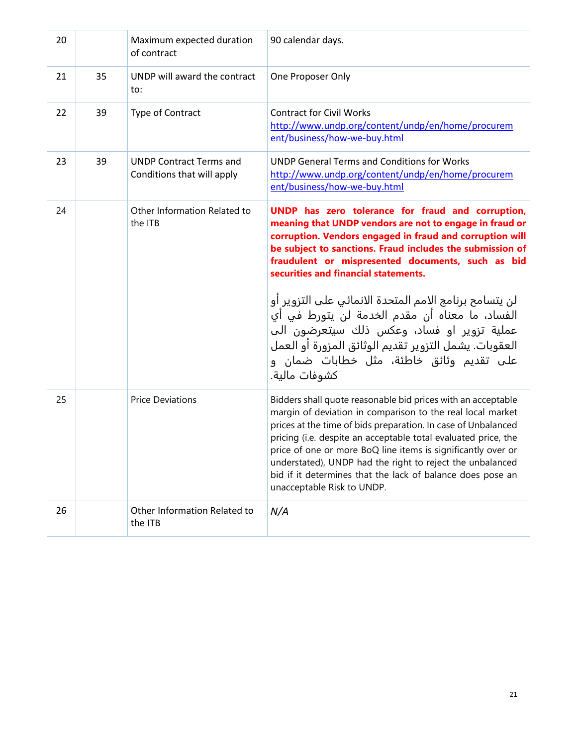| 20 |    | Maximum expected duration<br>of contract                     | 90 calendar days.                                                                                                                                                                                                                                                                                                                                                                                                                                                                      |
|----|----|--------------------------------------------------------------|----------------------------------------------------------------------------------------------------------------------------------------------------------------------------------------------------------------------------------------------------------------------------------------------------------------------------------------------------------------------------------------------------------------------------------------------------------------------------------------|
| 21 | 35 | UNDP will award the contract<br>to:                          | One Proposer Only                                                                                                                                                                                                                                                                                                                                                                                                                                                                      |
| 22 | 39 | Type of Contract                                             | <b>Contract for Civil Works</b><br>http://www.undp.org/content/undp/en/home/procurem<br>ent/business/how-we-buy.html                                                                                                                                                                                                                                                                                                                                                                   |
| 23 | 39 | <b>UNDP Contract Terms and</b><br>Conditions that will apply | <b>UNDP General Terms and Conditions for Works</b><br>http://www.undp.org/content/undp/en/home/procurem<br>ent/business/how-we-buy.html                                                                                                                                                                                                                                                                                                                                                |
| 24 |    | Other Information Related to<br>the ITB                      | UNDP has zero tolerance for fraud and corruption,<br>meaning that UNDP vendors are not to engage in fraud or<br>corruption. Vendors engaged in fraud and corruption will<br>be subject to sanctions. Fraud includes the submission of<br>fraudulent or mispresented documents, such as bid<br>securities and financial statements.                                                                                                                                                     |
|    |    |                                                              | لن يتسامح برنامج الامم المتحدة الانمائي على التزوير أو<br>الفساد، ما معناه أن مقدم الخدمة لن يتورط في أي<br>عملية تزوير او فساد، وعكس ذلك سيتعرضون الب<br>العقوبات. يشمل التزوير تقديم الوثائق المزورة أو العمل<br>على تقديم وئائق خاطئة، مثل خطابات ضمان و<br>كشوفات مالية.                                                                                                                                                                                                           |
| 25 |    | <b>Price Deviations</b>                                      | Bidders shall quote reasonable bid prices with an acceptable<br>margin of deviation in comparison to the real local market<br>prices at the time of bids preparation. In case of Unbalanced<br>pricing (i.e. despite an acceptable total evaluated price, the<br>price of one or more BoQ line items is significantly over or<br>understated), UNDP had the right to reject the unbalanced<br>bid if it determines that the lack of balance does pose an<br>unacceptable Risk to UNDP. |
| 26 |    | Other Information Related to<br>the ITB                      | N/A                                                                                                                                                                                                                                                                                                                                                                                                                                                                                    |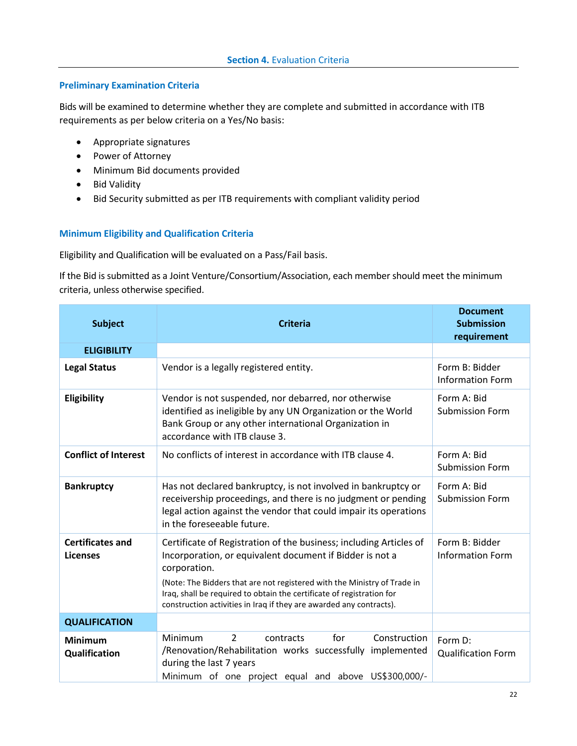#### <span id="page-21-0"></span>**Preliminary Examination Criteria**

Bids will be examined to determine whether they are complete and submitted in accordance with ITB requirements as per below criteria on a Yes/No basis:

- Appropriate signatures
- Power of Attorney
- Minimum Bid documents provided
- Bid Validity
- Bid Security submitted as per ITB requirements with compliant validity period

### **Minimum Eligibility and Qualification Criteria**

Eligibility and Qualification will be evaluated on a Pass/Fail basis.

If the Bid is submitted as a Joint Venture/Consortium/Association, each member should meet the minimum criteria, unless otherwise specified.

| <b>Subject</b>                             | <b>Criteria</b>                                                                                                                                                                                                                                                                                                                                                            | <b>Document</b><br><b>Submission</b><br>requirement |
|--------------------------------------------|----------------------------------------------------------------------------------------------------------------------------------------------------------------------------------------------------------------------------------------------------------------------------------------------------------------------------------------------------------------------------|-----------------------------------------------------|
| <b>ELIGIBILITY</b>                         |                                                                                                                                                                                                                                                                                                                                                                            |                                                     |
| <b>Legal Status</b>                        | Vendor is a legally registered entity.                                                                                                                                                                                                                                                                                                                                     | Form B: Bidder<br><b>Information Form</b>           |
| Eligibility                                | Vendor is not suspended, nor debarred, nor otherwise<br>identified as ineligible by any UN Organization or the World<br>Bank Group or any other international Organization in<br>accordance with ITB clause 3.                                                                                                                                                             | Form A: Bid<br><b>Submission Form</b>               |
| <b>Conflict of Interest</b>                | No conflicts of interest in accordance with ITB clause 4.                                                                                                                                                                                                                                                                                                                  | Form A: Bid<br><b>Submission Form</b>               |
| <b>Bankruptcy</b>                          | Has not declared bankruptcy, is not involved in bankruptcy or<br>receivership proceedings, and there is no judgment or pending<br>legal action against the vendor that could impair its operations<br>in the foreseeable future.                                                                                                                                           | Form A: Bid<br><b>Submission Form</b>               |
| <b>Certificates and</b><br><b>Licenses</b> | Certificate of Registration of the business; including Articles of<br>Incorporation, or equivalent document if Bidder is not a<br>corporation.<br>(Note: The Bidders that are not registered with the Ministry of Trade in<br>Iraq, shall be required to obtain the certificate of registration for<br>construction activities in Iraq if they are awarded any contracts). | Form B: Bidder<br><b>Information Form</b>           |
| <b>QUALIFICATION</b>                       |                                                                                                                                                                                                                                                                                                                                                                            |                                                     |
| <b>Minimum</b><br>Qualification            | for<br>$\overline{\phantom{a}}$<br>Construction<br><b>Minimum</b><br>contracts<br>/Renovation/Rehabilitation works successfully<br>implemented<br>during the last 7 years<br>Minimum of one project equal and above US\$300,000/-                                                                                                                                          | Form D:<br><b>Qualification Form</b>                |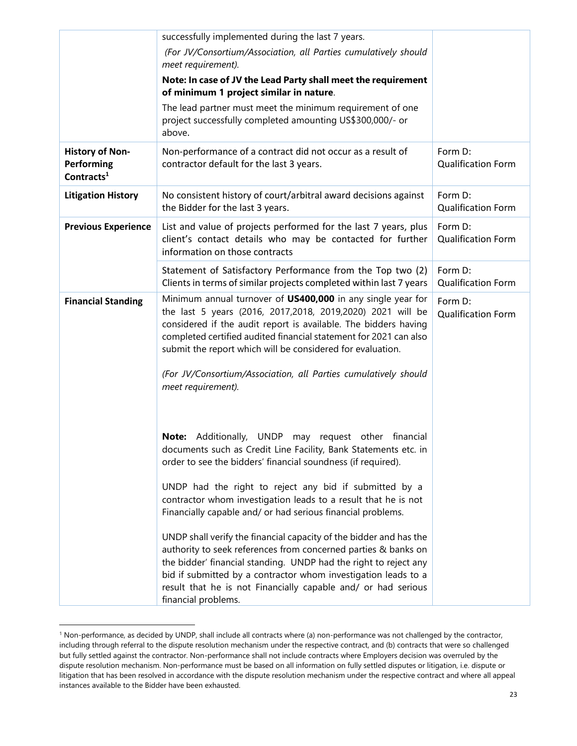|                                                       | successfully implemented during the last 7 years.                                                                                                                                                                                                                                                                                                                                                                        |                                      |
|-------------------------------------------------------|--------------------------------------------------------------------------------------------------------------------------------------------------------------------------------------------------------------------------------------------------------------------------------------------------------------------------------------------------------------------------------------------------------------------------|--------------------------------------|
|                                                       | (For JV/Consortium/Association, all Parties cumulatively should<br>meet requirement).                                                                                                                                                                                                                                                                                                                                    |                                      |
|                                                       | Note: In case of JV the Lead Party shall meet the requirement<br>of minimum 1 project similar in nature.                                                                                                                                                                                                                                                                                                                 |                                      |
|                                                       | The lead partner must meet the minimum requirement of one<br>project successfully completed amounting US\$300,000/- or<br>above.                                                                                                                                                                                                                                                                                         |                                      |
| <b>History of Non-</b><br>Performing<br>Contracts $1$ | Non-performance of a contract did not occur as a result of<br>contractor default for the last 3 years.                                                                                                                                                                                                                                                                                                                   | Form D:<br><b>Qualification Form</b> |
| <b>Litigation History</b>                             | No consistent history of court/arbitral award decisions against<br>the Bidder for the last 3 years.                                                                                                                                                                                                                                                                                                                      | Form D:<br><b>Qualification Form</b> |
| <b>Previous Experience</b>                            | List and value of projects performed for the last 7 years, plus<br>client's contact details who may be contacted for further<br>information on those contracts                                                                                                                                                                                                                                                           | Form D:<br><b>Qualification Form</b> |
|                                                       | Statement of Satisfactory Performance from the Top two (2)<br>Clients in terms of similar projects completed within last 7 years                                                                                                                                                                                                                                                                                         | Form D:<br><b>Qualification Form</b> |
| <b>Financial Standing</b>                             | Minimum annual turnover of US400,000 in any single year for<br>the last 5 years (2016, 2017,2018, 2019,2020) 2021 will be<br>considered if the audit report is available. The bidders having<br>completed certified audited financial statement for 2021 can also<br>submit the report which will be considered for evaluation.<br>(For JV/Consortium/Association, all Parties cumulatively should<br>meet requirement). | Form D:<br><b>Qualification Form</b> |
|                                                       | Note: Additionally, UNDP may request other financial<br>documents such as Credit Line Facility, Bank Statements etc. in<br>order to see the bidders' financial soundness (if required).                                                                                                                                                                                                                                  |                                      |
|                                                       | UNDP had the right to reject any bid if submitted by a<br>contractor whom investigation leads to a result that he is not<br>Financially capable and/ or had serious financial problems.                                                                                                                                                                                                                                  |                                      |
|                                                       | UNDP shall verify the financial capacity of the bidder and has the<br>authority to seek references from concerned parties & banks on<br>the bidder' financial standing. UNDP had the right to reject any<br>bid if submitted by a contractor whom investigation leads to a<br>result that he is not Financially capable and/ or had serious<br>financial problems.                                                       |                                      |

<sup>&</sup>lt;sup>1</sup> Non-performance, as decided by UNDP, shall include all contracts where (a) non-performance was not challenged by the contractor, including through referral to the dispute resolution mechanism under the respective contract, and (b) contracts that were so challenged but fully settled against the contractor. Non-performance shall not include contracts where Employers decision was overruled by the dispute resolution mechanism. Non-performance must be based on all information on fully settled disputes or litigation, i.e. dispute or litigation that has been resolved in accordance with the dispute resolution mechanism under the respective contract and where all appeal instances available to the Bidder have been exhausted.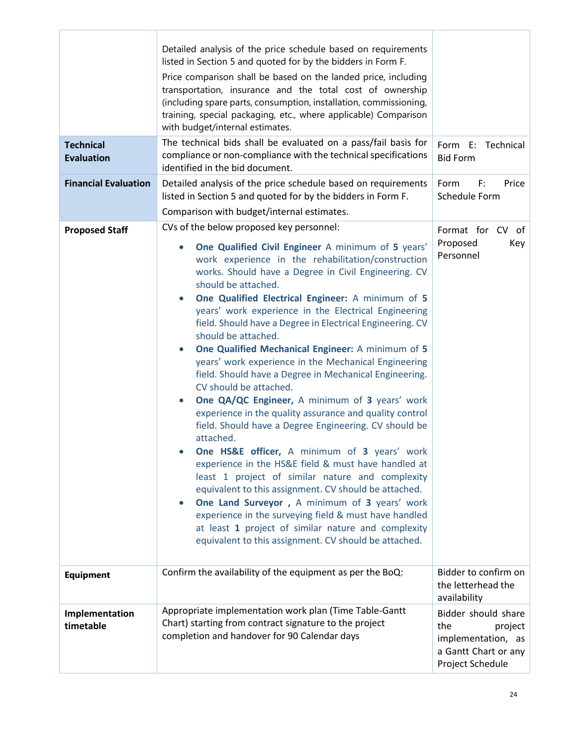| <b>Technical</b><br><b>Evaluation</b><br><b>Financial Evaluation</b> | Detailed analysis of the price schedule based on requirements<br>listed in Section 5 and quoted for by the bidders in Form F.<br>Price comparison shall be based on the landed price, including<br>transportation, insurance and the total cost of ownership<br>(including spare parts, consumption, installation, commissioning,<br>training, special packaging, etc., where applicable) Comparison<br>with budget/internal estimates.<br>The technical bids shall be evaluated on a pass/fail basis for<br>compliance or non-compliance with the technical specifications<br>identified in the bid document.<br>Detailed analysis of the price schedule based on requirements<br>listed in Section 5 and quoted for by the bidders in Form F.                                                                                                                                                                                                                                                                                                                                                                                                                                                                                                                                                        | Form E:<br>Technical<br><b>Bid Form</b><br>Form<br>F:<br>Price<br>Schedule Form                         |
|----------------------------------------------------------------------|--------------------------------------------------------------------------------------------------------------------------------------------------------------------------------------------------------------------------------------------------------------------------------------------------------------------------------------------------------------------------------------------------------------------------------------------------------------------------------------------------------------------------------------------------------------------------------------------------------------------------------------------------------------------------------------------------------------------------------------------------------------------------------------------------------------------------------------------------------------------------------------------------------------------------------------------------------------------------------------------------------------------------------------------------------------------------------------------------------------------------------------------------------------------------------------------------------------------------------------------------------------------------------------------------------|---------------------------------------------------------------------------------------------------------|
|                                                                      | Comparison with budget/internal estimates.                                                                                                                                                                                                                                                                                                                                                                                                                                                                                                                                                                                                                                                                                                                                                                                                                                                                                                                                                                                                                                                                                                                                                                                                                                                             |                                                                                                         |
| <b>Proposed Staff</b>                                                | CVs of the below proposed key personnel:                                                                                                                                                                                                                                                                                                                                                                                                                                                                                                                                                                                                                                                                                                                                                                                                                                                                                                                                                                                                                                                                                                                                                                                                                                                               | Format for CV of                                                                                        |
|                                                                      | One Qualified Civil Engineer A minimum of 5 years'<br>$\bullet$<br>work experience in the rehabilitation/construction<br>works. Should have a Degree in Civil Engineering. CV<br>should be attached.<br>One Qualified Electrical Engineer: A minimum of 5<br>$\bullet$<br>years' work experience in the Electrical Engineering<br>field. Should have a Degree in Electrical Engineering. CV<br>should be attached.<br>One Qualified Mechanical Engineer: A minimum of 5<br>$\bullet$<br>years' work experience in the Mechanical Engineering<br>field. Should have a Degree in Mechanical Engineering.<br>CV should be attached.<br>One QA/QC Engineer, A minimum of 3 years' work<br>$\bullet$<br>experience in the quality assurance and quality control<br>field. Should have a Degree Engineering. CV should be<br>attached.<br><b>One HS&amp;E officer, A minimum of 3 years' work</b><br>experience in the HS&E field & must have handled at<br>least 1 project of similar nature and complexity<br>equivalent to this assignment. CV should be attached.<br>One Land Surveyor, A minimum of 3 years' work<br>$\bullet$<br>experience in the surveying field & must have handled<br>at least 1 project of similar nature and complexity<br>equivalent to this assignment. CV should be attached. | Proposed<br>Key<br>Personnel                                                                            |
| <b>Equipment</b>                                                     | Confirm the availability of the equipment as per the BoQ:                                                                                                                                                                                                                                                                                                                                                                                                                                                                                                                                                                                                                                                                                                                                                                                                                                                                                                                                                                                                                                                                                                                                                                                                                                              | Bidder to confirm on<br>the letterhead the<br>availability                                              |
| Implementation<br>timetable                                          | Appropriate implementation work plan (Time Table-Gantt<br>Chart) starting from contract signature to the project<br>completion and handover for 90 Calendar days                                                                                                                                                                                                                                                                                                                                                                                                                                                                                                                                                                                                                                                                                                                                                                                                                                                                                                                                                                                                                                                                                                                                       | Bidder should share<br>the<br>project<br>implementation, as<br>a Gantt Chart or any<br>Project Schedule |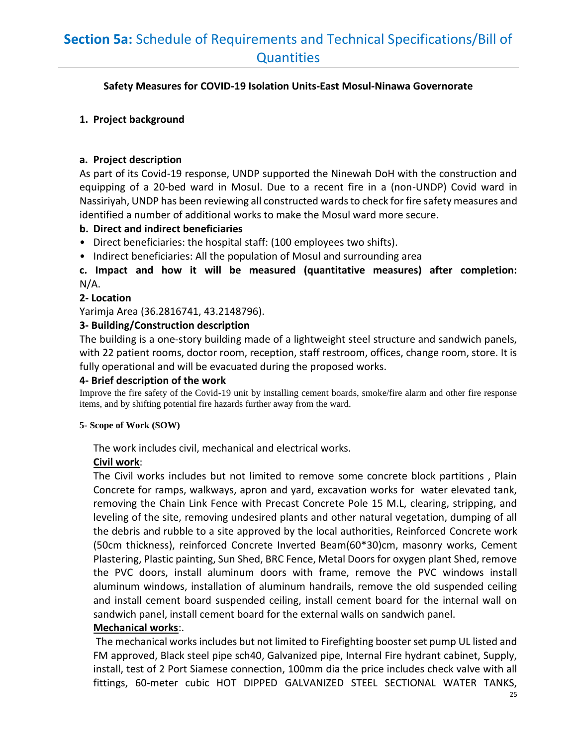# <span id="page-24-0"></span>**Section 5a:** Schedule of Requirements and Technical Specifications/Bill of **Quantities**

# **Safety Measures for COVID-19 Isolation Units-East Mosul-Ninawa Governorate**

# **1. Project background**

# **a. Project description**

As part of its Covid-19 response, UNDP supported the Ninewah DoH with the construction and equipping of a 20-bed ward in Mosul. Due to a recent fire in a (non-UNDP) Covid ward in Nassiriyah, UNDP has been reviewing all constructed wards to check for fire safety measures and identified a number of additional works to make the Mosul ward more secure.

# **b. Direct and indirect beneficiaries**

- Direct beneficiaries: the hospital staff: (100 employees two shifts).
- Indirect beneficiaries: All the population of Mosul and surrounding area

**c. Impact and how it will be measured (quantitative measures) after completion:**  N/A.

# **2- Location**

Yarimja Area (36.2816741, 43.2148796).

# **3- Building/Construction description**

The building is a one-story building made of a lightweight steel structure and sandwich panels, with 22 patient rooms, doctor room, reception, staff restroom, offices, change room, store. It is fully operational and will be evacuated during the proposed works.

# **4- Brief description of the work**

Improve the fire safety of the Covid-19 unit by installing cement boards, smoke/fire alarm and other fire response items, and by shifting potential fire hazards further away from the ward.

# **5- Scope of Work (SOW)**

The work includes civil, mechanical and electrical works.

# **Civil work**:

The Civil works includes but not limited to remove some concrete block partitions , Plain Concrete for ramps, walkways, apron and yard, excavation works for water elevated tank, removing the Chain Link Fence with Precast Concrete Pole 15 M.L, clearing, stripping, and leveling of the site, removing undesired plants and other natural vegetation, dumping of all the debris and rubble to a site approved by the local authorities, Reinforced Concrete work (50cm thickness), reinforced Concrete Inverted Beam(60\*30)cm, masonry works, Cement Plastering, Plastic painting, Sun Shed, BRC Fence, Metal Doors for oxygen plant Shed, remove the PVC doors, install aluminum doors with frame, remove the PVC windows install aluminum windows, installation of aluminum handrails, remove the old suspended ceiling and install cement board suspended ceiling, install cement board for the internal wall on sandwich panel, install cement board for the external walls on sandwich panel.

# **Mechanical works**:.

The mechanical works includes but not limited to Firefighting booster set pump UL listed and FM approved, Black steel pipe sch40, Galvanized pipe, Internal Fire hydrant cabinet, Supply, install, test of 2 Port Siamese connection, 100mm dia the price includes check valve with all fittings, 60-meter cubic HOT DIPPED GALVANIZED STEEL SECTIONAL WATER TANKS,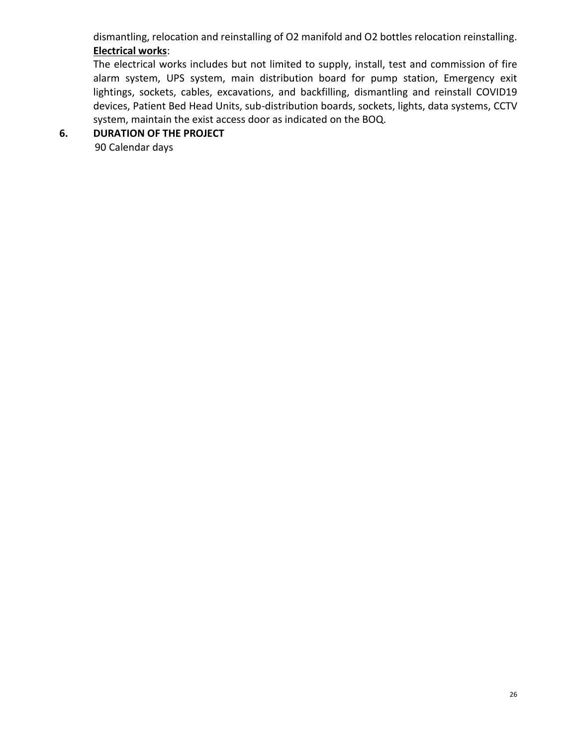dismantling, relocation and reinstalling of O2 manifold and O2 bottles relocation reinstalling. **Electrical works**:

The electrical works includes but not limited to supply, install, test and commission of fire alarm system, UPS system, main distribution board for pump station, Emergency exit lightings, sockets, cables, excavations, and backfilling, dismantling and reinstall COVID19 devices, Patient Bed Head Units, sub-distribution boards, sockets, lights, data systems, CCTV system, maintain the exist access door as indicated on the BOQ.

# **6. DURATION OF THE PROJECT**

90 Calendar days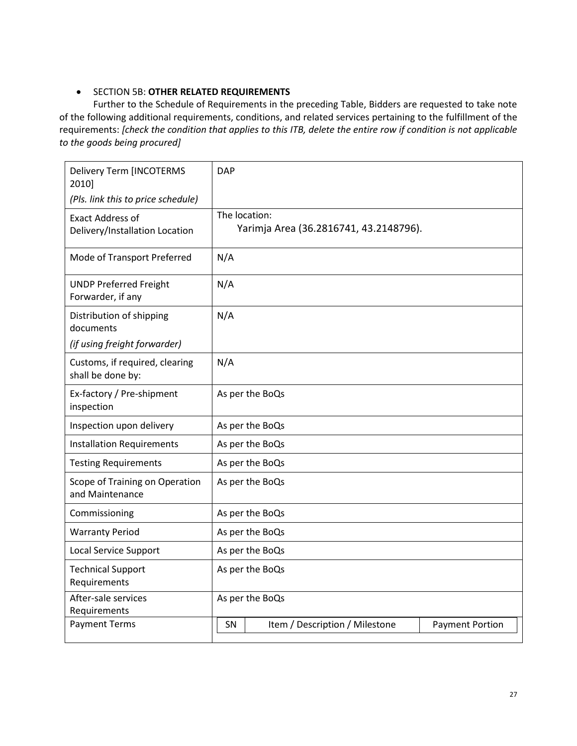# • SECTION 5B: **OTHER RELATED REQUIREMENTS**

Further to the Schedule of Requirements in the preceding Table, Bidders are requested to take note of the following additional requirements, conditions, and related services pertaining to the fulfillment of the requirements: *[check the condition that applies to this ITB, delete the entire row if condition is not applicable to the goods being procured]*

| <b>Delivery Term [INCOTERMS</b><br>2010]                  | <b>DAP</b>      |                                        |                        |
|-----------------------------------------------------------|-----------------|----------------------------------------|------------------------|
| (Pls. link this to price schedule)                        |                 |                                        |                        |
| <b>Exact Address of</b><br>Delivery/Installation Location | The location:   | Yarimja Area (36.2816741, 43.2148796). |                        |
| Mode of Transport Preferred                               | N/A             |                                        |                        |
| <b>UNDP Preferred Freight</b><br>Forwarder, if any        | N/A             |                                        |                        |
| Distribution of shipping<br>documents                     | N/A             |                                        |                        |
| (if using freight forwarder)                              |                 |                                        |                        |
| Customs, if required, clearing<br>shall be done by:       | N/A             |                                        |                        |
| Ex-factory / Pre-shipment<br>inspection                   |                 | As per the BoQs                        |                        |
| Inspection upon delivery                                  |                 | As per the BoQs                        |                        |
| <b>Installation Requirements</b>                          |                 | As per the BoQs                        |                        |
| <b>Testing Requirements</b>                               |                 | As per the BoQs                        |                        |
| Scope of Training on Operation<br>and Maintenance         |                 | As per the BoQs                        |                        |
| Commissioning                                             |                 | As per the BoQs                        |                        |
| <b>Warranty Period</b>                                    |                 | As per the BoQs                        |                        |
| <b>Local Service Support</b>                              | As per the BoQs |                                        |                        |
| <b>Technical Support</b><br>Requirements                  | As per the BoQs |                                        |                        |
| After-sale services<br>Requirements                       | As per the BoQs |                                        |                        |
| <b>Payment Terms</b>                                      | SΝ              | Item / Description / Milestone         | <b>Payment Portion</b> |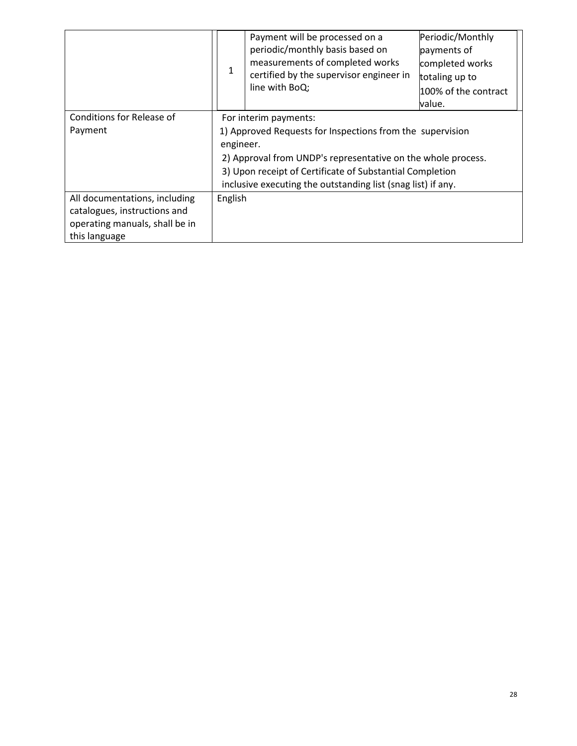|                                                                                                                  |                                                                                                                                                                                                                                                                                             | Payment will be processed on a<br>periodic/monthly basis based on<br>measurements of completed works<br>certified by the supervisor engineer in<br>line with BoQ; | Periodic/Monthly<br>payments of<br>completed works<br>totaling up to<br>100% of the contract<br>value. |
|------------------------------------------------------------------------------------------------------------------|---------------------------------------------------------------------------------------------------------------------------------------------------------------------------------------------------------------------------------------------------------------------------------------------|-------------------------------------------------------------------------------------------------------------------------------------------------------------------|--------------------------------------------------------------------------------------------------------|
| Conditions for Release of<br>Payment                                                                             | For interim payments:<br>1) Approved Requests for Inspections from the supervision<br>engineer.<br>2) Approval from UNDP's representative on the whole process.<br>3) Upon receipt of Certificate of Substantial Completion<br>inclusive executing the outstanding list (snag list) if any. |                                                                                                                                                                   |                                                                                                        |
| All documentations, including<br>catalogues, instructions and<br>operating manuals, shall be in<br>this language | English                                                                                                                                                                                                                                                                                     |                                                                                                                                                                   |                                                                                                        |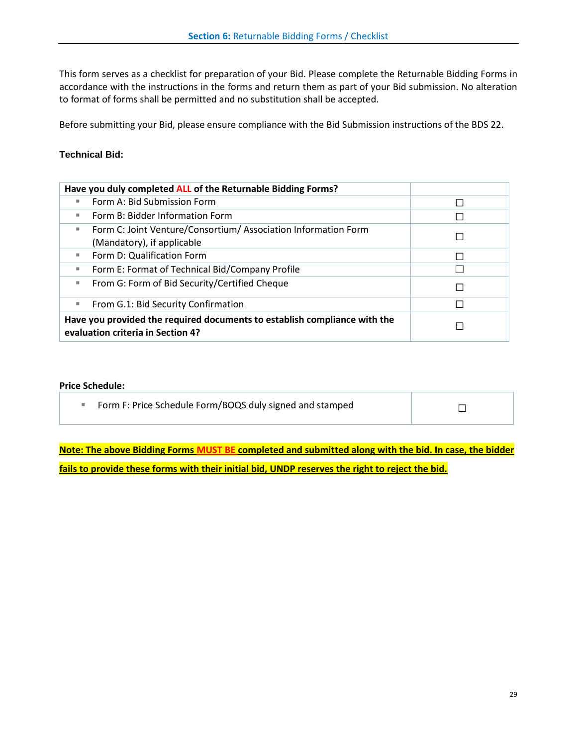<span id="page-28-0"></span>This form serves as a checklist for preparation of your Bid. Please complete the Returnable Bidding Forms in accordance with the instructions in the forms and return them as part of your Bid submission. No alteration to format of forms shall be permitted and no substitution shall be accepted.

Before submitting your Bid, please ensure compliance with the Bid Submission instructions of the BDS 22.

#### **Technical Bid:**

| Have you duly completed ALL of the Returnable Bidding Forms?                                                   |        |
|----------------------------------------------------------------------------------------------------------------|--------|
| Form A: Bid Submission Form                                                                                    | $\Box$ |
| Form B: Bidder Information Form                                                                                |        |
| Form C: Joint Venture/Consortium/ Association Information Form                                                 |        |
| (Mandatory), if applicable                                                                                     |        |
| Form D: Qualification Form                                                                                     |        |
| Form E: Format of Technical Bid/Company Profile                                                                |        |
| From G: Form of Bid Security/Certified Cheque                                                                  |        |
| From G.1: Bid Security Confirmation                                                                            |        |
| Have you provided the required documents to establish compliance with the<br>evaluation criteria in Section 4? |        |

#### **Price Schedule:**

| Form F: Price Schedule Form/BOQS duly signed and stamped |  |
|----------------------------------------------------------|--|
|----------------------------------------------------------|--|

**Note: The above Bidding Forms MUST BE completed and submitted along with the bid. In case, the bidder fails to provide these forms with their initial bid, UNDP reserves the right to reject the bid.**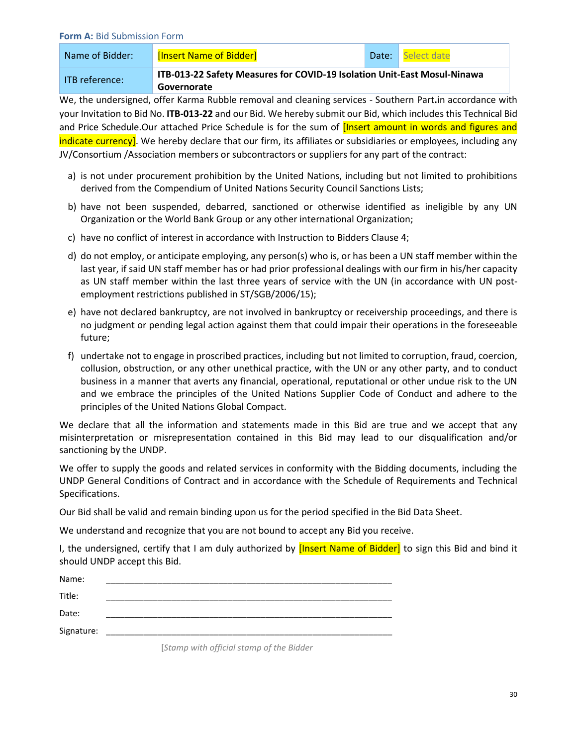#### <span id="page-29-0"></span>**Form A:** Bid Submission Form

| Name of Bidder:    | [Insert Name of Bidder]                                                  | Date: | Select date |
|--------------------|--------------------------------------------------------------------------|-------|-------------|
| - ITB reference: I | ITB-013-22 Safety Measures for COVID-19 Isolation Unit-East Mosul-Ninawa |       |             |
|                    | Governorate                                                              |       |             |

We, the undersigned, offer Karma Rubble removal and cleaning services - Southern Part**.**in accordance with your Invitation to Bid No. **ITB-013-22** and our Bid. We hereby submit our Bid, which includes this Technical Bid and Price Schedule.Our attached Price Schedule is for the sum of *[Insert amount in words and figures and* indicate currency]. We hereby declare that our firm, its affiliates or subsidiaries or employees, including any JV/Consortium /Association members or subcontractors or suppliers for any part of the contract:

- a) is not under procurement prohibition by the United Nations, including but not limited to prohibitions derived from the Compendium of United Nations Security Council Sanctions Lists;
- b) have not been suspended, debarred, sanctioned or otherwise identified as ineligible by any UN Organization or the World Bank Group or any other international Organization;
- c) have no conflict of interest in accordance with Instruction to Bidders Clause 4;
- d) do not employ, or anticipate employing, any person(s) who is, or has been a UN staff member within the last year, if said UN staff member has or had prior professional dealings with our firm in his/her capacity as UN staff member within the last three years of service with the UN (in accordance with UN postemployment restrictions published in ST/SGB/2006/15);
- e) have not declared bankruptcy, are not involved in bankruptcy or receivership proceedings, and there is no judgment or pending legal action against them that could impair their operations in the foreseeable future;
- f) undertake not to engage in proscribed practices, including but not limited to corruption, fraud, coercion, collusion, obstruction, or any other unethical practice, with the UN or any other party, and to conduct business in a manner that averts any financial, operational, reputational or other undue risk to the UN and we embrace the principles of the United Nations Supplier Code of Conduct and adhere to the principles of the United Nations Global Compact.

We declare that all the information and statements made in this Bid are true and we accept that any misinterpretation or misrepresentation contained in this Bid may lead to our disqualification and/or sanctioning by the UNDP.

We offer to supply the goods and related services in conformity with the Bidding documents, including the UNDP General Conditions of Contract and in accordance with the Schedule of Requirements and Technical Specifications.

Our Bid shall be valid and remain binding upon us for the period specified in the Bid Data Sheet.

We understand and recognize that you are not bound to accept any Bid you receive.

I, the undersigned, certify that I am duly authorized by [Insert Name of Bidder] to sign this Bid and bind it should UNDP accept this Bid.

| Name:      |  |
|------------|--|
| Title:     |  |
| Date:      |  |
| Signature: |  |

[*Stamp with official stamp of the Bidder*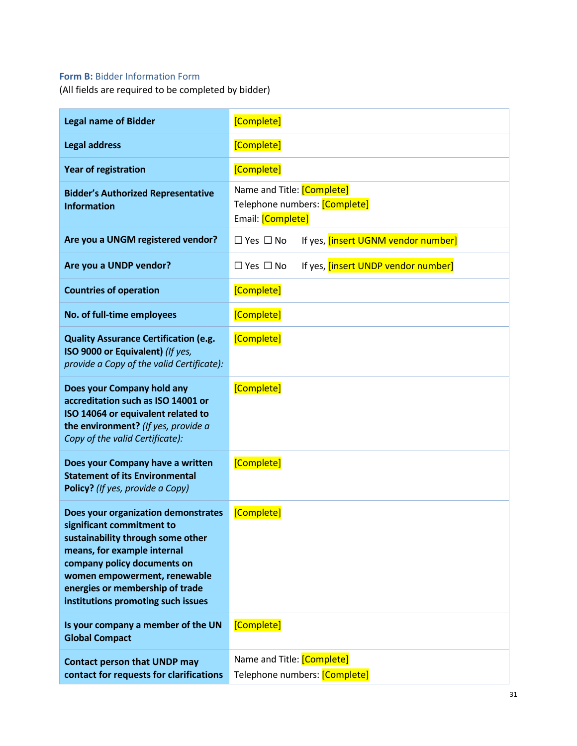## <span id="page-30-0"></span>**Form B: Bidder Information Form**

(All fields are required to be completed by bidder)

| <b>Legal name of Bidder</b>                                                                                                                                                                                                                                                  | [Complete]                                                                       |
|------------------------------------------------------------------------------------------------------------------------------------------------------------------------------------------------------------------------------------------------------------------------------|----------------------------------------------------------------------------------|
| <b>Legal address</b>                                                                                                                                                                                                                                                         | [Complete]                                                                       |
| <b>Year of registration</b>                                                                                                                                                                                                                                                  | [Complete]                                                                       |
| <b>Bidder's Authorized Representative</b><br><b>Information</b>                                                                                                                                                                                                              | Name and Title: [Complete]<br>Telephone numbers: [Complete]<br>Email: [Complete] |
| Are you a UNGM registered vendor?                                                                                                                                                                                                                                            | $\Box$ Yes $\Box$ No<br>If yes, [insert UGNM vendor number]                      |
| Are you a UNDP vendor?                                                                                                                                                                                                                                                       | $\Box$ Yes $\Box$ No<br>If yes, [insert UNDP vendor number]                      |
| <b>Countries of operation</b>                                                                                                                                                                                                                                                | [Complete]                                                                       |
| No. of full-time employees                                                                                                                                                                                                                                                   | [Complete]                                                                       |
| <b>Quality Assurance Certification (e.g.</b><br>ISO 9000 or Equivalent) (If yes,<br>provide a Copy of the valid Certificate):                                                                                                                                                | [Complete]                                                                       |
| Does your Company hold any<br>accreditation such as ISO 14001 or<br>ISO 14064 or equivalent related to<br>the environment? (If yes, provide a<br>Copy of the valid Certificate):                                                                                             | [Complete]                                                                       |
| Does your Company have a written<br><b>Statement of its Environmental</b><br>Policy? (If yes, provide a Copy)                                                                                                                                                                | [Complete]                                                                       |
| Does your organization demonstrates<br>significant commitment to<br>sustainability through some other<br>means, for example internal<br>company policy documents on<br>women empowerment, renewable<br>energies or membership of trade<br>institutions promoting such issues | [Complete]                                                                       |
| Is your company a member of the UN<br><b>Global Compact</b>                                                                                                                                                                                                                  | [Complete]                                                                       |
| <b>Contact person that UNDP may</b><br>contact for requests for clarifications                                                                                                                                                                                               | Name and Title: [Complete]<br>Telephone numbers: [Complete]                      |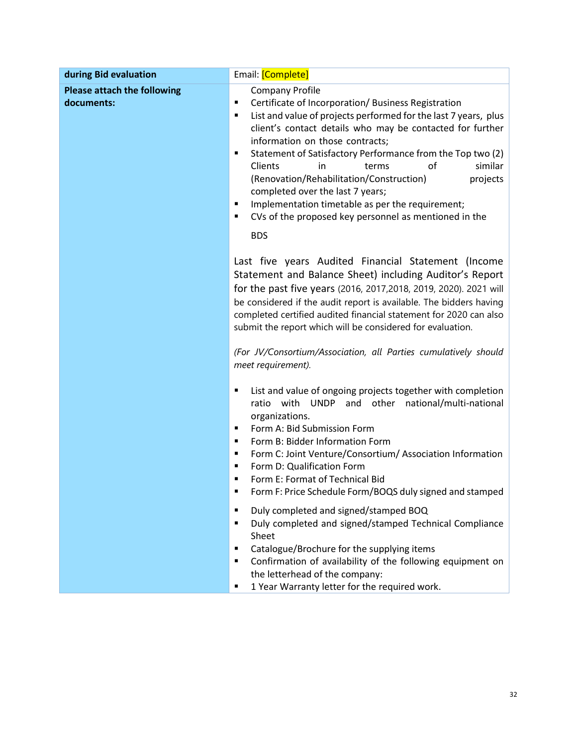| during Bid evaluation                            | Email: [Complete]                                                                                                                                                                                                                                                                                                                                                                                                                                                                                                                                                                                         |  |
|--------------------------------------------------|-----------------------------------------------------------------------------------------------------------------------------------------------------------------------------------------------------------------------------------------------------------------------------------------------------------------------------------------------------------------------------------------------------------------------------------------------------------------------------------------------------------------------------------------------------------------------------------------------------------|--|
| <b>Please attach the following</b><br>documents: | <b>Company Profile</b><br>Certificate of Incorporation/ Business Registration<br>٠<br>List and value of projects performed for the last 7 years, plus<br>٠<br>client's contact details who may be contacted for further<br>information on those contracts;<br>Statement of Satisfactory Performance from the Top two (2)<br>٠<br>Clients<br>similar<br>in<br>terms<br>οf<br>(Renovation/Rehabilitation/Construction)<br>projects<br>completed over the last 7 years;<br>Implementation timetable as per the requirement;<br>٠<br>CVs of the proposed key personnel as mentioned in the<br>٠<br><b>BDS</b> |  |
|                                                  | Last five years Audited Financial Statement (Income<br>Statement and Balance Sheet) including Auditor's Report<br>for the past five years (2016, 2017, 2018, 2019, 2020). 2021 will<br>be considered if the audit report is available. The bidders having<br>completed certified audited financial statement for 2020 can also<br>submit the report which will be considered for evaluation.<br>(For JV/Consortium/Association, all Parties cumulatively should<br>meet requirement).                                                                                                                     |  |
|                                                  | List and value of ongoing projects together with completion<br>п<br>with UNDP and other national/multi-national<br>ratio<br>organizations.<br>Form A: Bid Submission Form<br>٠<br>Form B: Bidder Information Form<br>٠<br>Form C: Joint Venture/Consortium/ Association Information<br>٠<br>Form D: Qualification Form<br>п<br>Form E: Format of Technical Bid<br>п<br>Form F: Price Schedule Form/BOQS duly signed and stamped                                                                                                                                                                           |  |
|                                                  | Duly completed and signed/stamped BOQ<br>٠<br>Duly completed and signed/stamped Technical Compliance<br>$\blacksquare$<br>Sheet<br>Catalogue/Brochure for the supplying items<br>п<br>Confirmation of availability of the following equipment on<br>٠<br>the letterhead of the company:<br>1 Year Warranty letter for the required work.<br>٠                                                                                                                                                                                                                                                             |  |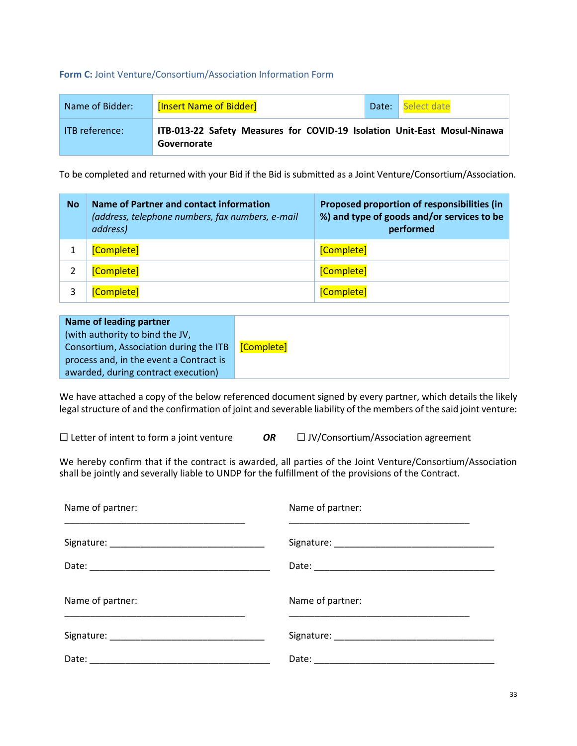#### <span id="page-32-0"></span>**Form C:** Joint Venture/Consortium/Association Information Form

| Name of Bidder:  | [Insert Name of Bidder]                                                                 | Date: | Select date |
|------------------|-----------------------------------------------------------------------------------------|-------|-------------|
| - ITB reference: | ITB-013-22 Safety Measures for COVID-19 Isolation Unit-East Mosul-Ninawa<br>Governorate |       |             |

To be completed and returned with your Bid if the Bid is submitted as a Joint Venture/Consortium/Association.

| <b>No</b> | Name of Partner and contact information<br>(address, telephone numbers, fax numbers, e-mail<br>address) | Proposed proportion of responsibilities (in<br>%) and type of goods and/or services to be<br>performed |
|-----------|---------------------------------------------------------------------------------------------------------|--------------------------------------------------------------------------------------------------------|
|           | [Complete]                                                                                              | [Complete]                                                                                             |
|           | [Complete]                                                                                              | [Complete]                                                                                             |
|           | [Complete]                                                                                              | [Complete]                                                                                             |

| Name of leading partner                 |            |
|-----------------------------------------|------------|
| (with authority to bind the JV,         |            |
| Consortium, Association during the ITB  | [Complete] |
| process and, in the event a Contract is |            |
| awarded, during contract execution)     |            |

We have attached a copy of the below referenced document signed by every partner, which details the likely legal structure of and the confirmation of joint and severable liability of the members of the said joint venture:

☐ Letter of intent to form a joint venture *OR* ☐ JV/Consortium/Association agreement

We hereby confirm that if the contract is awarded, all parties of the Joint Venture/Consortium/Association shall be jointly and severally liable to UNDP for the fulfillment of the provisions of the Contract.

| Name of partner: | Name of partner: |
|------------------|------------------|
|                  |                  |
|                  |                  |
| Name of partner: | Name of partner: |
|                  |                  |
|                  |                  |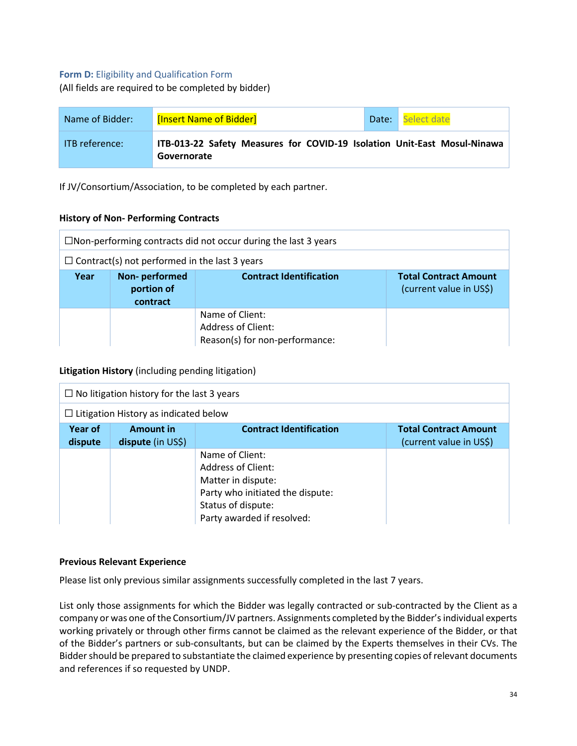#### <span id="page-33-0"></span>**Form D:** Eligibility and Qualification Form

(All fields are required to be completed by bidder)

| Name of Bidder:       | [Insert Name of Bidder]                                                                 | Date: | Select date |
|-----------------------|-----------------------------------------------------------------------------------------|-------|-------------|
| <b>ITB</b> reference: | ITB-013-22 Safety Measures for COVID-19 Isolation Unit-East Mosul-Ninawa<br>Governorate |       |             |

If JV/Consortium/Association, to be completed by each partner.

#### **History of Non- Performing Contracts**

| $\Box$ Non-performing contracts did not occur during the last 3 years |                                         |                                                                                |                                                         |
|-----------------------------------------------------------------------|-----------------------------------------|--------------------------------------------------------------------------------|---------------------------------------------------------|
| $\Box$ Contract(s) not performed in the last 3 years                  |                                         |                                                                                |                                                         |
| Year                                                                  | Non-performed<br>portion of<br>contract | <b>Contract Identification</b>                                                 | <b>Total Contract Amount</b><br>(current value in US\$) |
|                                                                       |                                         | Name of Client:<br><b>Address of Client:</b><br>Reason(s) for non-performance: |                                                         |

#### **Litigation History** (including pending litigation)

| $\Box$ No litigation history for the last 3 years |                                              |                                  |                              |
|---------------------------------------------------|----------------------------------------------|----------------------------------|------------------------------|
|                                                   | $\Box$ Litigation History as indicated below |                                  |                              |
| Year of                                           | <b>Amount in</b>                             | <b>Contract Identification</b>   | <b>Total Contract Amount</b> |
| dispute                                           | dispute (in US\$)                            |                                  | (current value in US\$)      |
|                                                   |                                              | Name of Client:                  |                              |
|                                                   |                                              | Address of Client:               |                              |
|                                                   |                                              | Matter in dispute:               |                              |
|                                                   |                                              | Party who initiated the dispute: |                              |
|                                                   |                                              | Status of dispute:               |                              |
|                                                   |                                              | Party awarded if resolved:       |                              |

#### **Previous Relevant Experience**

Please list only previous similar assignments successfully completed in the last 7 years.

List only those assignments for which the Bidder was legally contracted or sub-contracted by the Client as a company or was one of the Consortium/JV partners. Assignments completed by the Bidder's individual experts working privately or through other firms cannot be claimed as the relevant experience of the Bidder, or that of the Bidder's partners or sub-consultants, but can be claimed by the Experts themselves in their CVs. The Bidder should be prepared to substantiate the claimed experience by presenting copies of relevant documents and references if so requested by UNDP.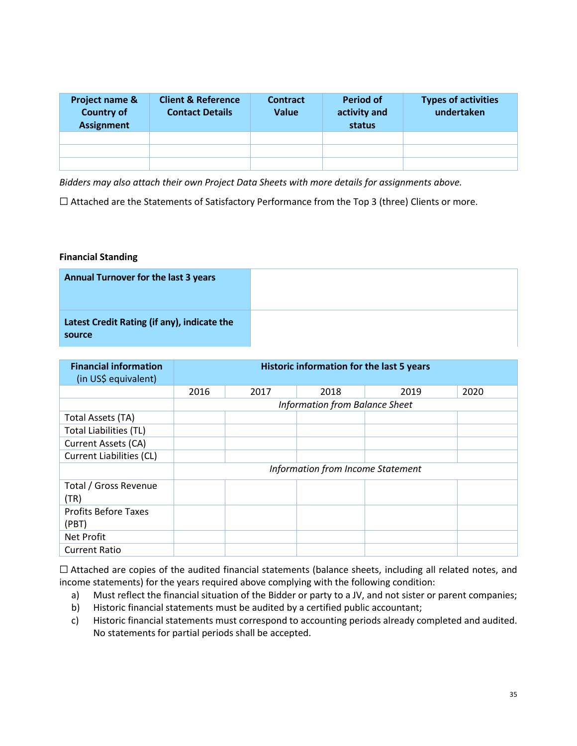| Project name &<br><b>Country of</b><br><b>Assignment</b> | <b>Client &amp; Reference</b><br><b>Contact Details</b> | <b>Contract</b><br>Value | <b>Period of</b><br>activity and<br>status | <b>Types of activities</b><br>undertaken |
|----------------------------------------------------------|---------------------------------------------------------|--------------------------|--------------------------------------------|------------------------------------------|
|                                                          |                                                         |                          |                                            |                                          |
|                                                          |                                                         |                          |                                            |                                          |
|                                                          |                                                         |                          |                                            |                                          |

*Bidders may also attach their own Project Data Sheets with more details for assignments above.*

☐ Attached are the Statements of Satisfactory Performance from the Top 3 (three) Clients or more.

#### **Financial Standing**

| <b>Annual Turnover for the last 3 years</b>           |  |
|-------------------------------------------------------|--|
| Latest Credit Rating (if any), indicate the<br>source |  |

| <b>Financial information</b><br>(in US\$ equivalent) | Historic information for the last 5 years |      |                                   |      |      |  |
|------------------------------------------------------|-------------------------------------------|------|-----------------------------------|------|------|--|
|                                                      | 2016                                      | 2017 | 2018                              | 2019 | 2020 |  |
|                                                      | Information from Balance Sheet            |      |                                   |      |      |  |
| Total Assets (TA)                                    |                                           |      |                                   |      |      |  |
| <b>Total Liabilities (TL)</b>                        |                                           |      |                                   |      |      |  |
| Current Assets (CA)                                  |                                           |      |                                   |      |      |  |
| Current Liabilities (CL)                             |                                           |      |                                   |      |      |  |
|                                                      |                                           |      | Information from Income Statement |      |      |  |
| Total / Gross Revenue<br>(TR)                        |                                           |      |                                   |      |      |  |
| <b>Profits Before Taxes</b><br>(PBT)                 |                                           |      |                                   |      |      |  |
| Net Profit                                           |                                           |      |                                   |      |      |  |
| <b>Current Ratio</b>                                 |                                           |      |                                   |      |      |  |

☐ Attached are copies of the audited financial statements (balance sheets, including all related notes, and income statements) for the years required above complying with the following condition:

- a) Must reflect the financial situation of the Bidder or party to a JV, and not sister or parent companies;
- b) Historic financial statements must be audited by a certified public accountant;
- c) Historic financial statements must correspond to accounting periods already completed and audited. No statements for partial periods shall be accepted.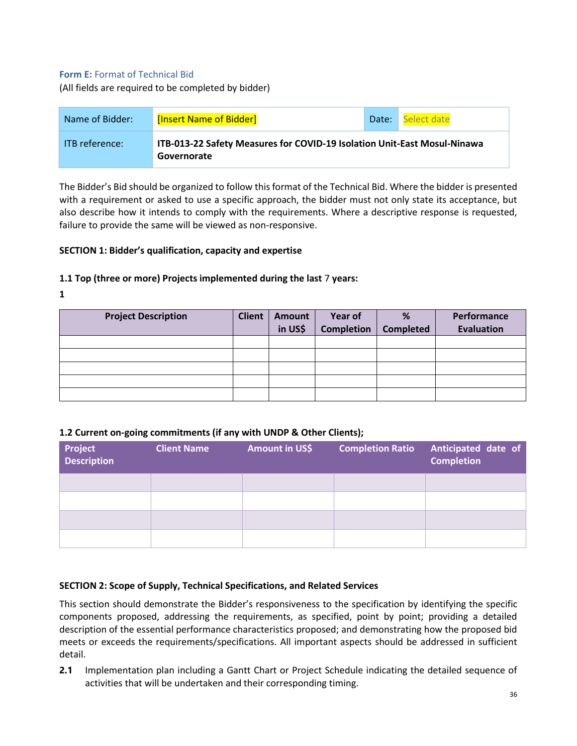#### <span id="page-35-0"></span>**Form E: Format of Technical Bid**

(All fields are required to be completed by bidder)

| Name of Bidder:       | [Insert Name of Bidder]                                                                 | Date: | Select date |
|-----------------------|-----------------------------------------------------------------------------------------|-------|-------------|
| <b>ITB</b> reference: | ITB-013-22 Safety Measures for COVID-19 Isolation Unit-East Mosul-Ninawa<br>Governorate |       |             |

The Bidder's Bid should be organized to follow this format of the Technical Bid. Where the bidder is presented with a requirement or asked to use a specific approach, the bidder must not only state its acceptance, but also describe how it intends to comply with the requirements. Where a descriptive response is requested, failure to provide the same will be viewed as non-responsive.

#### **SECTION 1: Bidder's qualification, capacity and expertise**

#### **1.1 Top (three or more) Projects implemented during the last** 7 **years:**

**1**

| <b>Project Description</b> | <b>Client</b> | Amount<br>in US\$ | Year of<br><b>Completion</b> | %<br><b>Completed</b> | Performance<br><b>Evaluation</b> |
|----------------------------|---------------|-------------------|------------------------------|-----------------------|----------------------------------|
|                            |               |                   |                              |                       |                                  |
|                            |               |                   |                              |                       |                                  |
|                            |               |                   |                              |                       |                                  |
|                            |               |                   |                              |                       |                                  |
|                            |               |                   |                              |                       |                                  |

#### **1.2 Current on-going commitments (if any with UNDP & Other Clients);**

| Project<br>Description | <b>Client Name</b> | Amount in US\$ | <b>Completion Ratio</b> | Anticipated date of<br><b>Completion</b> |
|------------------------|--------------------|----------------|-------------------------|------------------------------------------|
|                        |                    |                |                         |                                          |
|                        |                    |                |                         |                                          |
|                        |                    |                |                         |                                          |
|                        |                    |                |                         |                                          |

#### **SECTION 2: Scope of Supply, Technical Specifications, and Related Services**

This section should demonstrate the Bidder's responsiveness to the specification by identifying the specific components proposed, addressing the requirements, as specified, point by point; providing a detailed description of the essential performance characteristics proposed; and demonstrating how the proposed bid meets or exceeds the requirements/specifications. All important aspects should be addressed in sufficient detail.

**2.1** Implementation plan including a Gantt Chart or Project Schedule indicating the detailed sequence of activities that will be undertaken and their corresponding timing.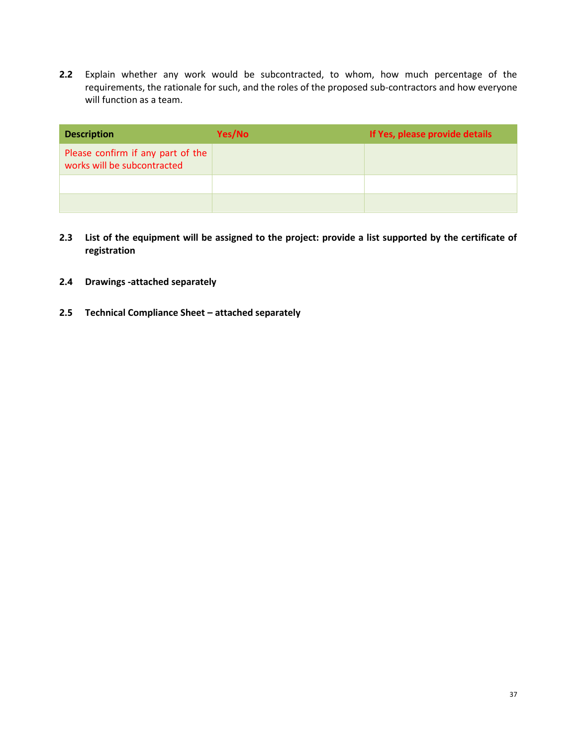**2.2** Explain whether any work would be subcontracted, to whom, how much percentage of the requirements, the rationale for such, and the roles of the proposed sub-contractors and how everyone will function as a team.

| <b>Description</b>                                               | Yes/No | If Yes, please provide details |
|------------------------------------------------------------------|--------|--------------------------------|
| Please confirm if any part of the<br>works will be subcontracted |        |                                |
|                                                                  |        |                                |
|                                                                  |        |                                |

- **2.3 List of the equipment will be assigned to the project: provide a list supported by the certificate of registration**
- **2.4 Drawings -attached separately**
- **2.5 Technical Compliance Sheet – attached separately**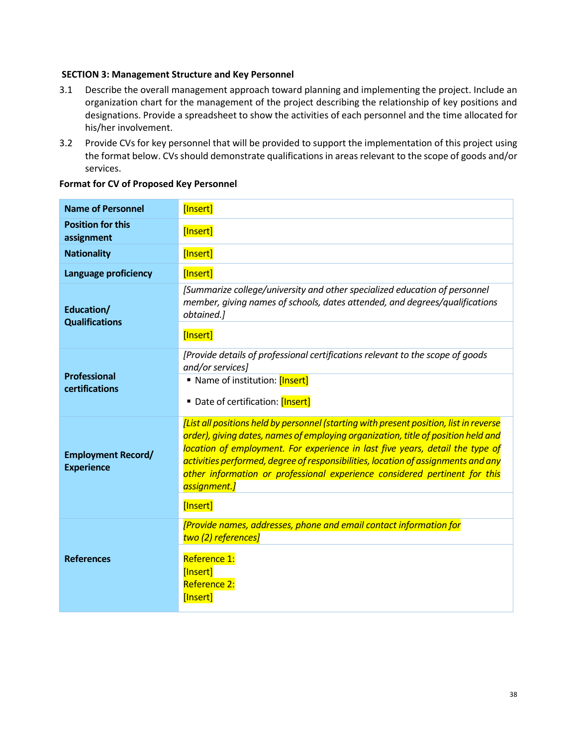#### **SECTION 3: Management Structure and Key Personnel**

- 3.1 Describe the overall management approach toward planning and implementing the project. Include an organization chart for the management of the project describing the relationship of key positions and designations. Provide a spreadsheet to show the activities of each personnel and the time allocated for his/her involvement.
- 3.2 Provide CVs for key personnel that will be provided to support the implementation of this project using the format below. CVs should demonstrate qualifications in areas relevant to the scope of goods and/or services.

| <b>Name of Personnel</b>                       | [Insert]                                                                                                                                                                                                                                                                                                                                                                                                                                                    |
|------------------------------------------------|-------------------------------------------------------------------------------------------------------------------------------------------------------------------------------------------------------------------------------------------------------------------------------------------------------------------------------------------------------------------------------------------------------------------------------------------------------------|
| <b>Position for this</b><br>assignment         | [Insert]                                                                                                                                                                                                                                                                                                                                                                                                                                                    |
| <b>Nationality</b>                             | [Insert]                                                                                                                                                                                                                                                                                                                                                                                                                                                    |
| Language proficiency                           | [Insert]                                                                                                                                                                                                                                                                                                                                                                                                                                                    |
| Education/<br><b>Qualifications</b>            | [Summarize college/university and other specialized education of personnel<br>member, giving names of schools, dates attended, and degrees/qualifications<br>obtained.]                                                                                                                                                                                                                                                                                     |
|                                                | [Insert]                                                                                                                                                                                                                                                                                                                                                                                                                                                    |
| <b>Professional</b><br>certifications          | [Provide details of professional certifications relevant to the scope of goods<br>and/or services]<br>Name of institution: [Insert]<br>Date of certification: [Insert]                                                                                                                                                                                                                                                                                      |
| <b>Employment Record/</b><br><b>Experience</b> | [List all positions held by personnel (starting with present position, list in reverse<br>order), giving dates, names of employing organization, title of position held and<br>location of employment. For experience in last five years, detail the type of<br>activities performed, degree of responsibilities, location of assignments and any<br>other information or professional experience considered pertinent for this<br>assignment.]<br>[Insert] |
|                                                | [Provide names, addresses, phone and email contact information for<br>two (2) references]                                                                                                                                                                                                                                                                                                                                                                   |
| <b>References</b>                              | Reference 1:<br>[Insert]<br><b>Reference 2:</b><br>[Insert]                                                                                                                                                                                                                                                                                                                                                                                                 |

#### **Format for CV of Proposed Key Personnel**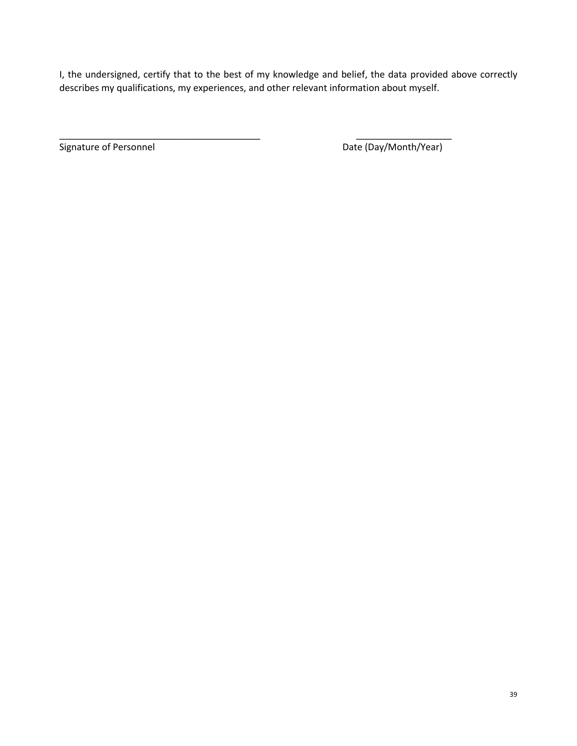I, the undersigned, certify that to the best of my knowledge and belief, the data provided above correctly describes my qualifications, my experiences, and other relevant information about myself.

\_\_\_\_\_\_\_\_\_\_\_\_\_\_\_\_\_\_\_\_\_\_\_\_\_\_\_\_\_\_\_\_\_\_\_\_\_\_\_\_ \_\_\_\_\_\_\_\_\_\_\_\_\_\_\_\_\_\_\_

Signature of Personnel **Date (Day/Month/Year)**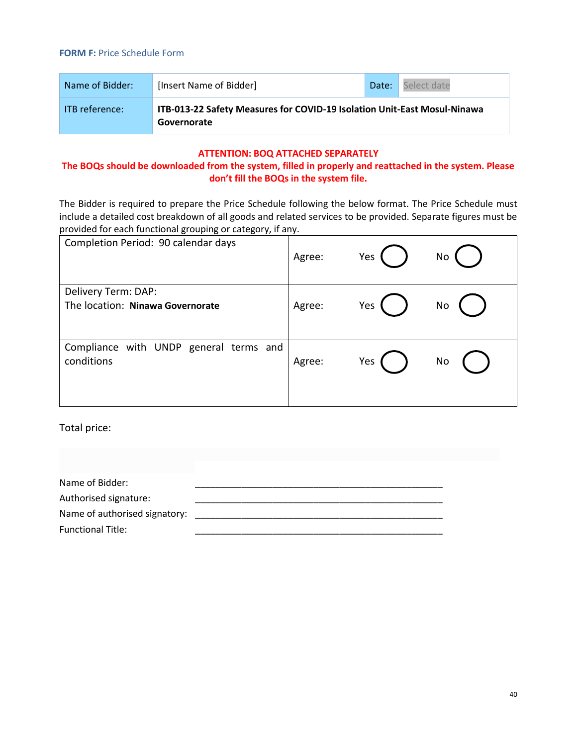<span id="page-39-0"></span>

| Name of Bidder:       | [Insert Name of Bidder]                                                                 | Date: | Select date |
|-----------------------|-----------------------------------------------------------------------------------------|-------|-------------|
| <b>ITB</b> reference: | ITB-013-22 Safety Measures for COVID-19 Isolation Unit-East Mosul-Ninawa<br>Governorate |       |             |

## **ATTENTION: BOQ ATTACHED SEPARATELY**

# **The BOQs should be downloaded from the system, filled in properly and reattached in the system. Please don't fill the BOQs in the system file.**

The Bidder is required to prepare the Price Schedule following the below format. The Price Schedule must include a detailed cost breakdown of all goods and related services to be provided. Separate figures must be provided for each functional grouping or category, if any.

| Completion Period: 90 calendar days                     | Agree: | Yes | No |
|---------------------------------------------------------|--------|-----|----|
| Delivery Term: DAP:                                     |        |     |    |
| The location: Ninawa Governorate                        | Agree: | Yes | No |
| with UNDP general terms and<br>Compliance<br>conditions | Agree: | Yes | No |
|                                                         |        |     |    |

Total price:

| Name of Bidder:               |  |
|-------------------------------|--|
| Authorised signature:         |  |
| Name of authorised signatory: |  |
| <b>Functional Title:</b>      |  |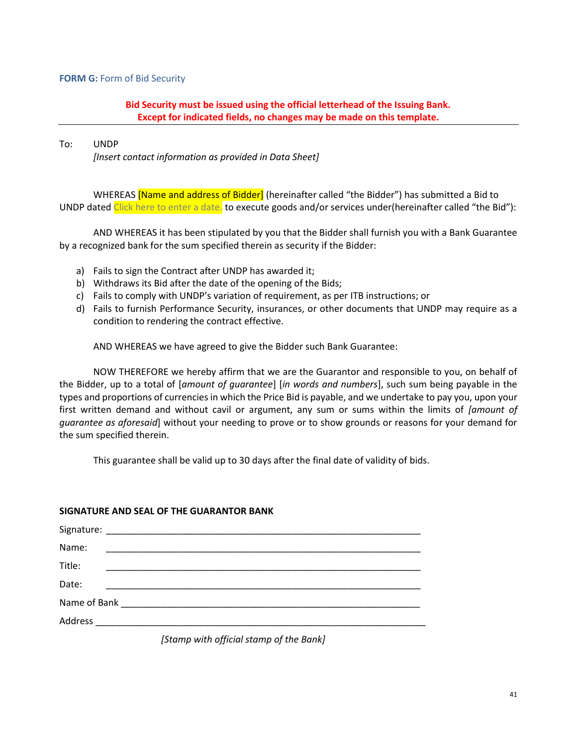#### <span id="page-40-0"></span>**FORM G:** Form of Bid Security

# **Bid Security must be issued using the official letterhead of the Issuing Bank. Except for indicated fields, no changes may be made on this template.**

#### To: UNDP

*[Insert contact information as provided in Data Sheet]*

WHEREAS **Name and address of Bidder** (hereinafter called "the Bidder") has submitted a Bid to UNDP dated Click here to enter a date. to execute goods and/or services under(hereinafter called "the Bid"):

AND WHEREAS it has been stipulated by you that the Bidder shall furnish you with a Bank Guarantee by a recognized bank for the sum specified therein as security if the Bidder:

- a) Fails to sign the Contract after UNDP has awarded it;
- b) Withdraws its Bid after the date of the opening of the Bids;
- c) Fails to comply with UNDP's variation of requirement, as per ITB instructions; or
- d) Fails to furnish Performance Security, insurances, or other documents that UNDP may require as a condition to rendering the contract effective.

AND WHEREAS we have agreed to give the Bidder such Bank Guarantee:

NOW THEREFORE we hereby affirm that we are the Guarantor and responsible to you, on behalf of the Bidder, up to a total of [*amount of guarantee*] [*in words and numbers*], such sum being payable in the types and proportions of currencies in which the Price Bid is payable, and we undertake to pay you, upon your first written demand and without cavil or argument, any sum or sums within the limits of *[amount of guarantee as aforesaid*] without your needing to prove or to show grounds or reasons for your demand for the sum specified therein.

This guarantee shall be valid up to 30 days after the final date of validity of bids.

#### **SIGNATURE AND SEAL OF THE GUARANTOR BANK**

| Name:  |  |  |
|--------|--|--|
| Title: |  |  |
| Date:  |  |  |
|        |  |  |
|        |  |  |

*[Stamp with official stamp of the Bank]*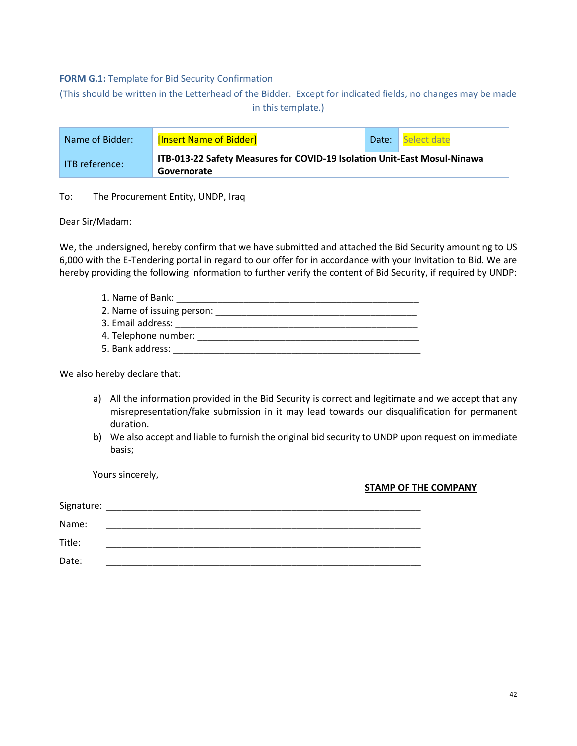#### <span id="page-41-0"></span>**FORM G.1:** Template for Bid Security Confirmation

<span id="page-41-1"></span>(This should be written in the Letterhead of the Bidder. Except for indicated fields, no changes may be made in this template.)

| Name of Bidder:              | [Insert Name of Bidder]                                                                 | Date: | Select date |
|------------------------------|-----------------------------------------------------------------------------------------|-------|-------------|
| $\blacksquare$ TB reference: | ITB-013-22 Safety Measures for COVID-19 Isolation Unit-East Mosul-Ninawa<br>Governorate |       |             |

To: The Procurement Entity, UNDP, Iraq

Dear Sir/Madam:

We, the undersigned, hereby confirm that we have submitted and attached the Bid Security amounting to US 6,000 with the E-Tendering portal in regard to our offer for in accordance with your Invitation to Bid. We are hereby providing the following information to further verify the content of Bid Security, if required by UNDP:

| 1. Name of Bank:           |
|----------------------------|
| 2. Name of issuing person: |
| 3. Email address:          |
| 4. Telephone number:       |
| 5. Bank address:           |

We also hereby declare that:

- a) All the information provided in the Bid Security is correct and legitimate and we accept that any misrepresentation/fake submission in it may lead towards our disqualification for permanent duration.
- b) We also accept and liable to furnish the original bid security to UNDP upon request on immediate basis;

Yours sincerely,

#### **STAMP OF THE COMPANY**

| Signature: |  |
|------------|--|
| Name:      |  |
| Title:     |  |
| Date:      |  |